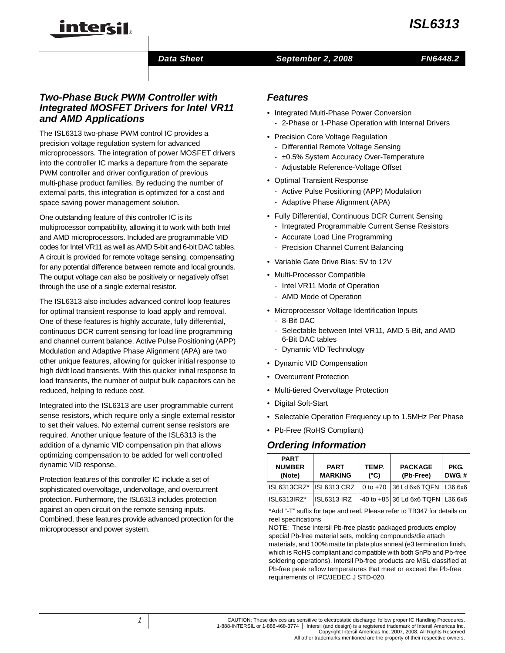#### *Data Sheet*

#### *September 2, 2008*

## *FN6448.2*

## *Two-Phase Buck PWM Controller with Integrated MOSFET Drivers for Intel VR11 and AMD Applications*

intersil

The ISL6313 two-phase PWM control IC provides a precision voltage regulation system for advanced microprocessors. The integration of power MOSFET drivers into the controller IC marks a departure from the separate PWM controller and driver configuration of previous multi-phase product families. By reducing the number of external parts, this integration is optimized for a cost and space saving power management solution.

One outstanding feature of this controller IC is its multiprocessor compatibility, allowing it to work with both Intel and AMD microprocessors. Included are programmable VID codes for Intel VR11 as well as AMD 5-bit and 6-bit DAC tables. A circuit is provided for remote voltage sensing, compensating for any potential difference between remote and local grounds. The output voltage can also be positively or negatively offset through the use of a single external resistor.

The ISL6313 also includes advanced control loop features for optimal transient response to load apply and removal. One of these features is highly accurate, fully differential, continuous DCR current sensing for load line programming and channel current balance. Active Pulse Positioning (APP) Modulation and Adaptive Phase Alignment (APA) are two other unique features, allowing for quicker initial response to high di/dt load transients. With this quicker initial response to load transients, the number of output bulk capacitors can be reduced, helping to reduce cost.

Integrated into the ISL6313 are user programmable current sense resistors, which require only a single external resistor to set their values. No external current sense resistors are required. Another unique feature of the ISL6313 is the addition of a dynamic VID compensation pin that allows optimizing compensation to be added for well controlled dynamic VID response.

Protection features of this controller IC include a set of sophisticated overvoltage, undervoltage, and overcurrent protection. Furthermore, the ISL6313 includes protection against an open circuit on the remote sensing inputs. Combined, these features provide advanced protection for the microprocessor and power system.

#### *Features*

- Integrated Multi-Phase Power Conversion
	- 2-Phase or 1-Phase Operation with Internal Drivers
- Precision Core Voltage Regulation
	- Differential Remote Voltage Sensing
	- $\pm$ 0.5% System Accuracy Over-Temperature
	- Adjustable Reference-Voltage Offset
- Optimal Transient Response
	- Active Pulse Positioning (APP) Modulation
	- Adaptive Phase Alignment (APA)
- Fully Differential, Continuous DCR Current Sensing
	- Integrated Programmable Current Sense Resistors
	- Accurate Load Line Programming
	- Precision Channel Current Balancing
- Variable Gate Drive Bias: 5V to 12V
- Multi-Processor Compatible
	- Intel VR11 Mode of Operation
	- AMD Mode of Operation
- Microprocessor Voltage Identification Inputs
	- 8-Bit DAC
	- Selectable between Intel VR11, AMD 5-Bit, and AMD 6-Bit DAC tables
	- Dynamic VID Technology
- Dynamic VID Compensation
- Overcurrent Protection
- Multi-tiered Overvoltage Protection
- Digital Soft-Start
- Selectable Operation Frequency up to 1.5MHz Per Phase
- Pb-Free (RoHS Compliant)

## *Ordering Information*

| <b>PART</b><br><b>NUMBER</b><br>(Note) | <b>PART</b><br><b>MARKING</b> | TEMP.<br>$(^{\circ}C)$ | <b>PACKAGE</b><br>(Pb-Free)       | <b>PKG.</b><br>DWG.# |
|----------------------------------------|-------------------------------|------------------------|-----------------------------------|----------------------|
| ISL6313CRZ*                            | ISL6313 CRZ                   |                        | 0 to +70 36 Ld 6x6 TQFN   L36.6x6 |                      |
| ISL6313IRZ*                            | <b>ISL6313 IRZ</b>            |                        | -40 to +85 36 Ld 6x6 TQFN L36.6x6 |                      |

[\\*Add "-T" suffix for tape and reel. Please refer to TB347 for details on](http://www.intersil.com/data/tb/tb347.pdf)  reel specifications

NOTE: These Intersil Pb-free plastic packaged products employ special Pb-free material sets, molding compounds/die attach materials, and 100% matte tin plate plus anneal (e3 termination finish, which is RoHS compliant and compatible with both SnPb and Pb-free soldering operations). Intersil Pb-free products are MSL classified at Pb-free peak reflow temperatures that meet or exceed the Pb-free requirements of IPC/JEDEC J STD-020.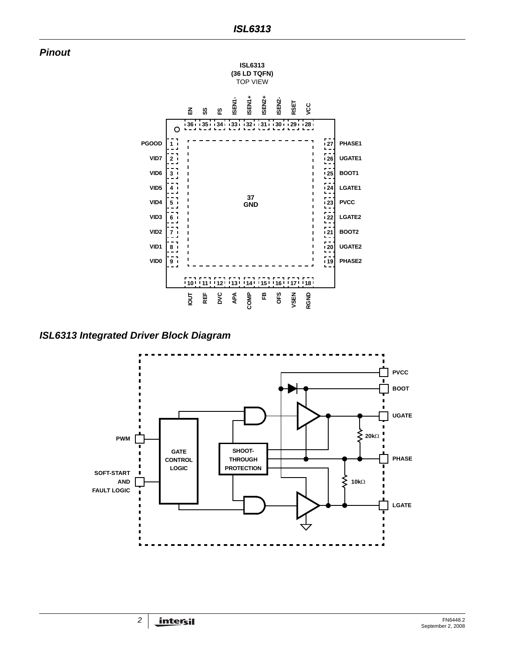*Pinout*



*ISL6313 Integrated Driver Block Diagram*

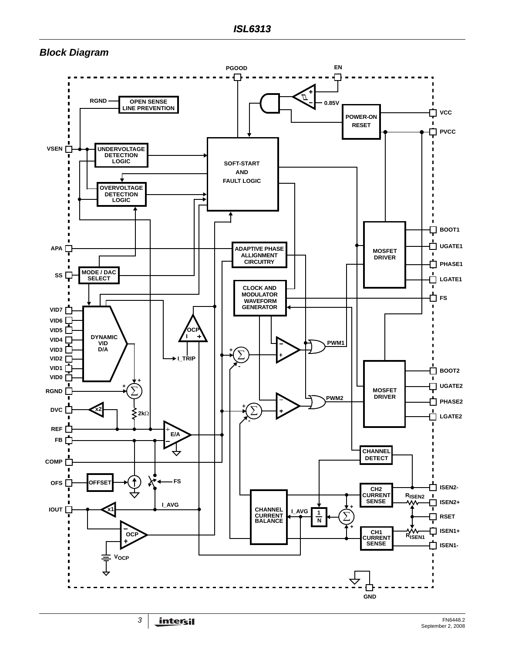

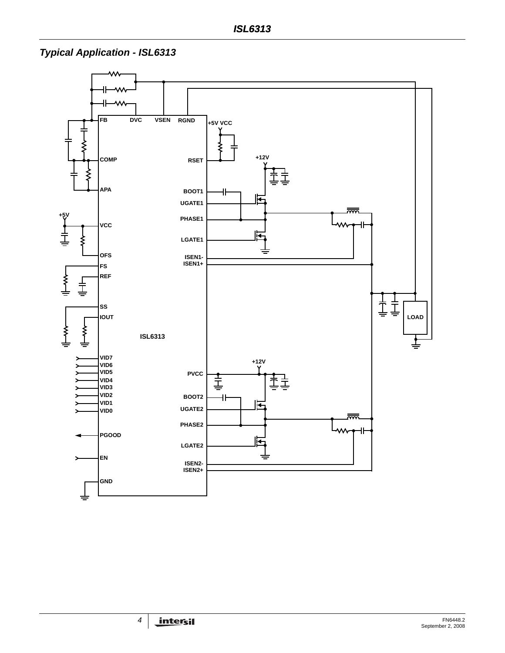# *Typical Application - ISL6313*

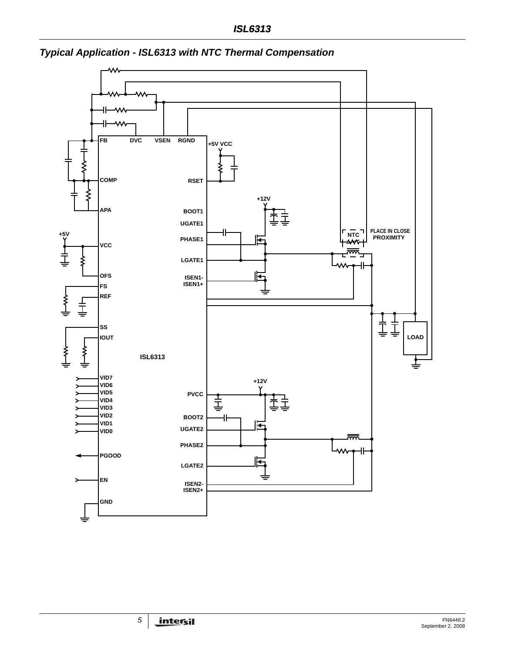

# *Typical Application - ISL6313 with NTC Thermal Compensation*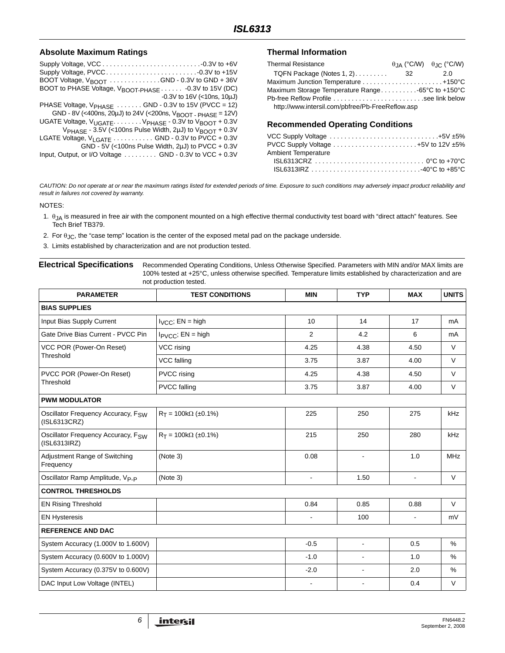#### **Absolute Maximum Ratings**

| BOOT Voltage, V <sub>BOOT</sub> GND - 0.3V to GND + 36V                                   |
|-------------------------------------------------------------------------------------------|
| BOOT to PHASE Voltage, V <sub>BOOT-PHASE</sub> - 0.3V to 15V (DC)                         |
| $-0.3V$ to 16V (<10ns, 10µJ)                                                              |
| PHASE Voltage, $V_{PHASE}$ GND - 0.3V to 15V (PVCC = 12)                                  |
| GND - 8V (<400ns, 20µJ) to 24V (<200ns, V <sub>BOOT</sub> - PHASE = 12V)                  |
| UGATE Voltage, V <sub>UGATE</sub> . V <sub>PHASE</sub> - 0.3V to V <sub>BOOT</sub> + 0.3V |
| $V_{\text{PHASE}}$ - 3.5V (<100ns Pulse Width, 2µJ) to $V_{\text{BOOT}}$ + 0.3V           |
| LGATE Voltage, V <sub>LGATE</sub> GND - 0.3V to PVCC + 0.3V                               |
| GND - 5V (<100ns Pulse Width, $2\mu$ J) to PVCC + 0.3V                                    |
| Input, Output, or I/O Voltage  GND - 0.3V to VCC + 0.3V                                   |

#### **Thermal Information**

| <b>Thermal Resistance</b>                        |     | $\theta$ JA (°C/W) $\theta$ JC (°C/W) |
|--------------------------------------------------|-----|---------------------------------------|
| TQFN Package (Notes 1, 2)                        | -32 | 2.0                                   |
|                                                  |     |                                       |
| Maximum Storage Temperature Range65°C to +150°C  |     |                                       |
|                                                  |     |                                       |
| http://www.intersil.com/pbfree/Pb-FreeReflow.asp |     |                                       |

#### **Recommended Operating Conditions**

| VCC Supply Voltage $\ldots \ldots \ldots \ldots \ldots \ldots \ldots \ldots \ldots \ldots +5V \pm 5\%$ |  |
|--------------------------------------------------------------------------------------------------------|--|
| PVCC Supply Voltage $\ldots \ldots \ldots \ldots \ldots \ldots \ldots +5V$ to 12V $\pm 5\%$            |  |
| Ambient Temperature                                                                                    |  |
|                                                                                                        |  |
|                                                                                                        |  |

*CAUTION: Do not operate at or near the maximum ratings listed for extended periods of time. Exposure to such conditions may adversely impact product reliability and result in failures not covered by warranty.*

NOTES:

- <span id="page-5-0"></span>1.  $\theta_{JA}$  is measured in free air with the component mounted on a high effective thermal conductivity test board with "direct attach" features. See Tech Brief TB379.
- <span id="page-5-1"></span>2. For  $\theta_{\text{JC}}$ , the "case temp" location is the center of the exposed metal pad on the package underside.
- 3. Limits established by characterization and are not production tested.

<span id="page-5-4"></span>**Electrical Specifications** Recommended Operating Conditions, Unless Otherwise Specified. Parameters with MIN and/or MAX limits are 100% tested at +25°C, unless otherwise specified. Temperature limits established by characterization and are not production tested.

<span id="page-5-3"></span><span id="page-5-2"></span>

| <b>PARAMETER</b>                                               | <b>TEST CONDITIONS</b>        | <b>MIN</b>     | <b>TYP</b>               | <b>MAX</b>     | <b>UNITS</b>  |
|----------------------------------------------------------------|-------------------------------|----------------|--------------------------|----------------|---------------|
| <b>BIAS SUPPLIES</b>                                           |                               |                |                          |                |               |
| Input Bias Supply Current                                      | $I_{VCC}$ ; EN = high         | 10             | 14                       | 17             | mA            |
| Gate Drive Bias Current - PVCC Pin                             | $I_{\text{PVCC}}$ ; EN = high | $\overline{2}$ | 4.2                      | 6              | mA            |
| VCC POR (Power-On Reset)                                       | VCC rising                    | 4.25           | 4.38                     | 4.50           | $\vee$        |
| Threshold                                                      | VCC falling                   | 3.75           | 3.87                     | 4.00           | $\vee$        |
| PVCC POR (Power-On Reset)                                      | PVCC rising                   | 4.25           | 4.38                     | 4.50           | $\vee$        |
| Threshold                                                      | <b>PVCC</b> falling           | 3.75           | 3.87                     | 4.00           | $\vee$        |
| <b>PWM MODULATOR</b>                                           |                               |                |                          |                |               |
| Oscillator Frequency Accuracy, F <sub>SW</sub><br>(ISL6313CRZ) | $R_T = 100k\Omega$ (±0.1%)    | 225            | 250                      | 275            | kHz           |
| Oscillator Frequency Accuracy, F <sub>SW</sub><br>(ISL6313IRZ) | $R_T = 100k\Omega$ (±0.1%)    | 215            | 250                      | 280            | kHz           |
| Adjustment Range of Switching<br>Frequency                     | (Note 3)                      | 0.08           | $\overline{\phantom{a}}$ | 1.0            | <b>MHz</b>    |
| Oscillator Ramp Amplitude, V <sub>P-P</sub>                    | (Note 3)                      | $\blacksquare$ | 1.50                     | $\Delta$       | $\vee$        |
| <b>CONTROL THRESHOLDS</b>                                      |                               |                |                          |                |               |
| <b>EN Rising Threshold</b>                                     |                               | 0.84           | 0.85                     | 0.88           | $\vee$        |
| <b>EN Hysteresis</b>                                           |                               | $\blacksquare$ | 100                      | $\blacksquare$ | mV            |
| <b>REFERENCE AND DAC</b>                                       |                               |                |                          |                |               |
| System Accuracy (1.000V to 1.600V)                             |                               | $-0.5$         | $\overline{\phantom{a}}$ | 0.5            | $\frac{6}{6}$ |
| System Accuracy (0.600V to 1.000V)                             |                               | $-1.0$         | $\overline{\phantom{a}}$ | 1.0            | %             |
| System Accuracy (0.375V to 0.600V)                             |                               | $-2.0$         | $\blacksquare$           | 2.0            | %             |
| DAC Input Low Voltage (INTEL)                                  |                               |                | $\blacksquare$           | 0.4            | $\vee$        |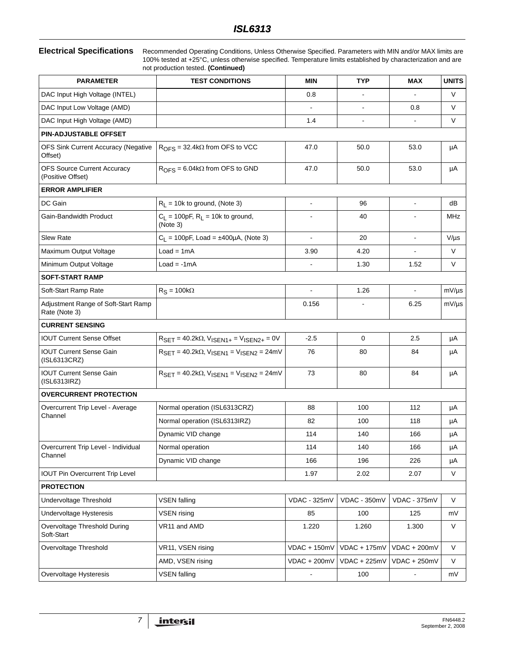**Electrical Specifications** Recommended Operating Conditions, Unless Otherwise Specified. Parameters with MIN and/or MAX limits are 100% tested at +25°C, unless otherwise specified. Temperature limits established by characterization and are not production tested. **(Continued)**

| <b>PARAMETER</b>                                        | <b>TEST CONDITIONS</b>                                                                        | <b>MIN</b>     | <b>TYP</b>     | <b>MAX</b>               | <b>UNITS</b> |
|---------------------------------------------------------|-----------------------------------------------------------------------------------------------|----------------|----------------|--------------------------|--------------|
| DAC Input High Voltage (INTEL)                          |                                                                                               | 0.8            |                |                          | V            |
| DAC Input Low Voltage (AMD)                             |                                                                                               | $\blacksquare$ | $\blacksquare$ | 0.8                      | V            |
| DAC Input High Voltage (AMD)                            |                                                                                               | 1.4            | $\blacksquare$ |                          | V            |
| <b>PIN-ADJUSTABLE OFFSET</b>                            |                                                                                               |                |                |                          |              |
| OFS Sink Current Accuracy (Negative<br>Offset)          | $ROFS = 32.4k\Omega$ from OFS to VCC                                                          | 47.0           | 50.0           | 53.0                     | μA           |
| <b>OFS Source Current Accuracy</b><br>(Positive Offset) | $ROFS = 6.04k\Omega$ from OFS to GND                                                          | 47.0           | 50.0           | 53.0                     | μA           |
| <b>ERROR AMPLIFIER</b>                                  |                                                                                               |                |                |                          |              |
| DC Gain                                                 | $R_L$ = 10k to ground, (Note 3)                                                               | $\blacksquare$ | 96             | $\blacksquare$           | dB           |
| Gain-Bandwidth Product                                  | $C_1 = 100pF$ , $R_L = 10k$ to ground,<br>(Note 3)                                            |                | 40             |                          | <b>MHz</b>   |
| <b>Slew Rate</b>                                        | $C_L$ = 100pF, Load = ±400µA, (Note 3)                                                        |                | 20             |                          | $V/\mu s$    |
| Maximum Output Voltage                                  | $Load = 1mA$                                                                                  | 3.90           | 4.20           |                          | V            |
| Minimum Output Voltage                                  | $Load = -1mA$                                                                                 | $\blacksquare$ | 1.30           | 1.52                     | V            |
| <b>SOFT-START RAMP</b>                                  |                                                                                               |                |                |                          |              |
| Soft-Start Ramp Rate                                    | $R_S = 100k\Omega$                                                                            | $\blacksquare$ | 1.26           | $\blacksquare$           | $mV/\mu s$   |
| Adjustment Range of Soft-Start Ramp<br>Rate (Note 3)    |                                                                                               | 0.156          | L,             | 6.25                     | $mV/\mu s$   |
| <b>CURRENT SENSING</b>                                  |                                                                                               |                |                |                          |              |
| <b>IOUT Current Sense Offset</b>                        | $R_{\text{SET}} = 40.2 \text{k}\Omega$ , $V_{\text{ISEN1+}} = V_{\text{ISEN2+}} = 0 V$        | $-2.5$         | 0              | 2.5                      | μA           |
| <b>IOUT Current Sense Gain</b><br>(ISL6313CRZ)          | $R_{\text{SET}} = 40.2 \text{k}\Omega$ , $V_{\text{ISEN1}} = V_{\text{ISEN2}} = 24 \text{mV}$ | 76             | 80             | 84                       | μA           |
| <b>IOUT Current Sense Gain</b><br>(ISL6313IRZ)          | $R_{\text{SET}} = 40.2 \text{k}\Omega$ , $V_{\text{ISEN1}} = V_{\text{ISEN2}} = 24 \text{mV}$ | 73             | 80             | 84                       | μA           |
| <b>OVERCURRENT PROTECTION</b>                           |                                                                                               |                |                |                          |              |
| Overcurrent Trip Level - Average                        | Normal operation (ISL6313CRZ)                                                                 | 88             | 100            | 112                      | μA           |
| Channel                                                 | Normal operation (ISL6313IRZ)                                                                 | 82             | 100            | 118                      | μA           |
|                                                         | Dynamic VID change                                                                            | 114            | 140            | 166                      | μA           |
| Overcurrent Trip Level - Individual                     | Normal operation                                                                              | 114            | 140            | 166                      | μA           |
| Channel                                                 | Dynamic VID change                                                                            | 166            | 196            | 226                      | μA           |
| <b>IOUT Pin Overcurrent Trip Level</b>                  |                                                                                               | 1.97           | 2.02           | 2.07                     | $\mathsf V$  |
| <b>PROTECTION</b>                                       |                                                                                               |                |                |                          |              |
| Undervoltage Threshold                                  | <b>VSEN falling</b>                                                                           | VDAC - 325mV   | VDAC - 350mV   | VDAC - 375mV             | V            |
| Undervoltage Hysteresis                                 | <b>VSEN</b> rising                                                                            | 85             | 100            | 125                      | mV           |
| Overvoltage Threshold During<br>Soft-Start              | VR11 and AMD                                                                                  | 1.220          | 1.260          | 1.300                    | $\vee$       |
| Overvoltage Threshold                                   | VR11, VSEN rising                                                                             | VDAC + 150mV   | $VDAC + 175mV$ | $VDAC + 200mV$           | $\vee$       |
|                                                         | AMD, VSEN rising                                                                              | $VDAC + 200mV$ | $VDAC + 225mV$ | $VDAC + 250mV$           | V            |
| Overvoltage Hysteresis                                  | <b>VSEN falling</b>                                                                           |                | 100            | $\overline{\phantom{a}}$ | mV           |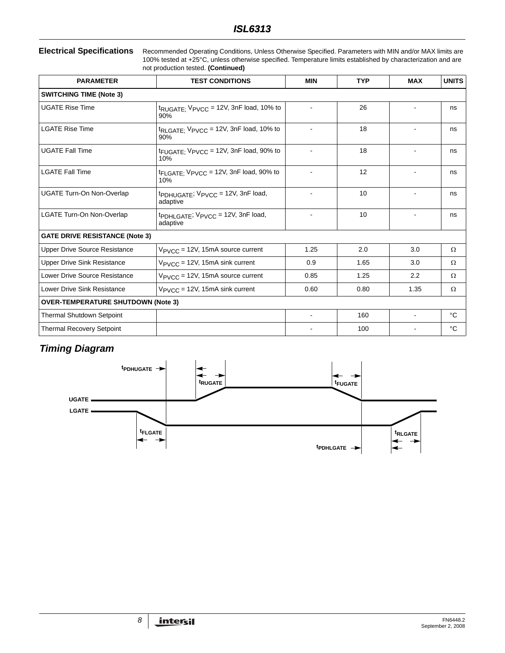**Electrical Specifications** Recommended Operating Conditions, Unless Otherwise Specified. Parameters with MIN and/or MAX limits are 100% tested at +25°C, unless otherwise specified. Temperature limits established by characterization and are not production tested. **(Continued)**

| <b>PARAMETER</b>                      | <b>TEST CONDITIONS</b>                                                  | <b>MIN</b>     | <b>TYP</b> | <b>MAX</b> | <b>UNITS</b> |  |  |  |
|---------------------------------------|-------------------------------------------------------------------------|----------------|------------|------------|--------------|--|--|--|
| <b>SWITCHING TIME (Note 3)</b>        |                                                                         |                |            |            |              |  |  |  |
| <b>UGATE Rise Time</b>                | $t_{\text{RUGATE}}$ V $V_{\text{PVCC}}$ = 12V, 3n F load, 10% to<br>90% |                | 26         |            | ns           |  |  |  |
| <b>LGATE Rise Time</b>                | $t_{\text{RLGATE}}$ ; $V_{\text{PVCC}}$ = 12V, 3nF load, 10% to<br>90%  |                | 18         |            | ns           |  |  |  |
| <b>UGATE Fall Time</b>                | t <sub>FUGATE;</sub> V <sub>PVCC</sub> = 12V, 3nF load, 90% to<br>10%   |                | 18         |            | ns           |  |  |  |
| <b>LGATE Fall Time</b>                | tFLGATE: VPVCC = 12V, 3nF load, 90% to<br>10%                           |                | 12         |            | ns           |  |  |  |
| <b>UGATE Turn-On Non-Overlap</b>      | tpDHUGATE; VPVCC = 12V, 3nF load,<br>adaptive                           |                | 10         |            | ns           |  |  |  |
| LGATE Turn-On Non-Overlap             | tpDHLGATE; VPVCC = 12V, 3nF load,<br>adaptive                           | $\blacksquare$ | 10         |            | ns           |  |  |  |
| <b>GATE DRIVE RESISTANCE (Note 3)</b> |                                                                         |                |            |            |              |  |  |  |
| <b>Upper Drive Source Resistance</b>  | $V_{PVCC}$ = 12V, 15mA source current                                   | 1.25           | 2.0        | 3.0        | Ω            |  |  |  |
| <b>Upper Drive Sink Resistance</b>    | $V_{PVCC}$ = 12V, 15mA sink current                                     | 0.9            | 1.65       | 3.0        | Ω            |  |  |  |
| Lower Drive Source Resistance         | $V_{\text{PVCC}} = 12V$ , 15mA source current                           | 0.85           | 1.25       | 2.2        | Ω            |  |  |  |
| Lower Drive Sink Resistance           | $V_{\text{PVCC}}$ = 12V, 15mA sink current                              | 0.60           | 0.80       | 1.35       | Ω            |  |  |  |
|                                       | <b>OVER-TEMPERATURE SHUTDOWN (Note 3)</b>                               |                |            |            |              |  |  |  |
| <b>Thermal Shutdown Setpoint</b>      |                                                                         |                | 160        |            | $^{\circ}C$  |  |  |  |
| <b>Thermal Recovery Setpoint</b>      |                                                                         |                | 100        |            | °C           |  |  |  |

## *Timing Diagram*

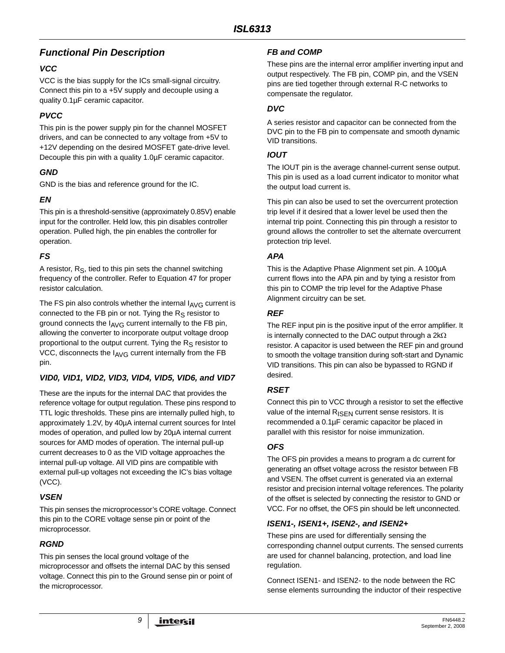## *Functional Pin Description*

#### *VCC*

VCC is the bias supply for the ICs small-signal circuitry. Connect this pin to a +5V supply and decouple using a quality 0.1µF ceramic capacitor.

### *PVCC*

This pin is the power supply pin for the channel MOSFET drivers, and can be connected to any voltage from +5V to +12V depending on the desired MOSFET gate-drive level. Decouple this pin with a quality 1.0µF ceramic capacitor.

### *GND*

GND is the bias and reference ground for the IC.

## *EN*

This pin is a threshold-sensitive (approximately 0.85V) enable input for the controller. Held low, this pin disables controller operation. Pulled high, the pin enables the controller for operation.

## *FS*

A resistor,  $R_S$ , tied to this pin sets the channel switching frequency of the controller. Refer to Equation 47 for proper resistor calculation.

The FS pin also controls whether the internal  $I_{AVG}$  current is connected to the FB pin or not. Tying the  $R<sub>S</sub>$  resistor to ground connects the  $I_{AVG}$  current internally to the FB pin, allowing the converter to incorporate output voltage droop proportional to the output current. Tying the  $R<sub>S</sub>$  resistor to VCC, disconnects the  $I_{AVG}$  current internally from the FB pin.

## *VID0, VID1, VID2, VID3, VID4, VID5, VID6, and VID7*

These are the inputs for the internal DAC that provides the reference voltage for output regulation. These pins respond to TTL logic thresholds. These pins are internally pulled high, to approximately 1.2V, by 40µA internal current sources for Intel modes of operation, and pulled low by 20µA internal current sources for AMD modes of operation. The internal pull-up current decreases to 0 as the VID voltage approaches the internal pull-up voltage. All VID pins are compatible with external pull-up voltages not exceeding the IC's bias voltage (VCC).

### *VSEN*

This pin senses the microprocessor's CORE voltage. Connect this pin to the CORE voltage sense pin or point of the microprocessor.

## *RGND*

This pin senses the local ground voltage of the microprocessor and offsets the internal DAC by this sensed voltage. Connect this pin to the Ground sense pin or point of the microprocessor.

## *FB and COMP*

These pins are the internal error amplifier inverting input and output respectively. The FB pin, COMP pin, and the VSEN pins are tied together through external R-C networks to compensate the regulator.

### *DVC*

A series resistor and capacitor can be connected from the DVC pin to the FB pin to compensate and smooth dynamic VID transitions.

## *IOUT*

The IOUT pin is the average channel-current sense output. This pin is used as a load current indicator to monitor what the output load current is.

This pin can also be used to set the overcurrent protection trip level if it desired that a lower level be used then the internal trip point. Connecting this pin through a resistor to ground allows the controller to set the alternate overcurrent protection trip level.

## *APA*

This is the Adaptive Phase Alignment set pin. A 100µA current flows into the APA pin and by tying a resistor from this pin to COMP the trip level for the Adaptive Phase Alignment circuitry can be set.

### *REF*

The REF input pin is the positive input of the error amplifier. It is internally connected to the DAC output through a 2kΩ resistor. A capacitor is used between the REF pin and ground to smooth the voltage transition during soft-start and Dynamic VID transitions. This pin can also be bypassed to RGND if desired.

## *RSET*

Connect this pin to VCC through a resistor to set the effective value of the internal R<sub>ISEN</sub> current sense resistors. It is recommended a 0.1µF ceramic capacitor be placed in parallel with this resistor for noise immunization.

## *OFS*

The OFS pin provides a means to program a dc current for generating an offset voltage across the resistor between FB and VSEN. The offset current is generated via an external resistor and precision internal voltage references. The polarity of the offset is selected by connecting the resistor to GND or VCC. For no offset, the OFS pin should be left unconnected.

### *ISEN1-, ISEN1+, ISEN2-, and ISEN2+*

These pins are used for differentially sensing the corresponding channel output currents. The sensed currents are used for channel balancing, protection, and load line regulation.

Connect ISEN1- and ISEN2- to the node between the RC sense elements surrounding the inductor of their respective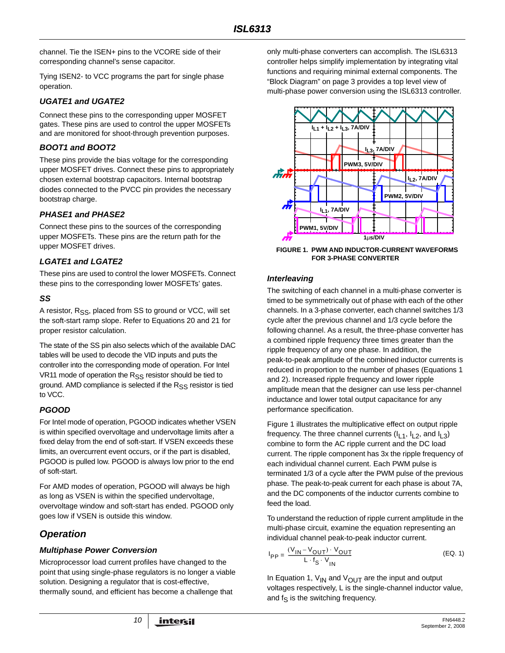channel. Tie the ISEN+ pins to the VCORE side of their corresponding channel's sense capacitor.

Tying ISEN2- to VCC programs the part for single phase operation.

#### *UGATE1 and UGATE2*

Connect these pins to the corresponding upper MOSFET gates. These pins are used to control the upper MOSFETs and are monitored for shoot-through prevention purposes.

#### *BOOT1 and BOOT2*

These pins provide the bias voltage for the corresponding upper MOSFET drives. Connect these pins to appropriately chosen external bootstrap capacitors. Internal bootstrap diodes connected to the PVCC pin provides the necessary bootstrap charge.

### *PHASE1 and PHASE2*

Connect these pins to the sources of the corresponding upper MOSFETs. These pins are the return path for the upper MOSFET drives.

#### *LGATE1 and LGATE2*

These pins are used to control the lower MOSFETs. Connect these pins to the corresponding lower MOSFETs' gates.

#### *SS*

A resistor, R<sub>SS</sub>, placed from SS to ground or VCC, will set the soft-start ramp slope. Refer to Equations 20 and 21 for proper resistor calculation.

The state of the SS pin also selects which of the available DAC tables will be used to decode the VID inputs and puts the controller into the corresponding mode of operation. For Intel VR11 mode of operation the R<sub>SS</sub> resistor should be tied to ground. AMD compliance is selected if the RSS resistor is tied to VCC.

### *PGOOD*

For Intel mode of operation, PGOOD indicates whether VSEN is within specified overvoltage and undervoltage limits after a fixed delay from the end of soft-start. If VSEN exceeds these limits, an overcurrent event occurs, or if the part is disabled, PGOOD is pulled low. PGOOD is always low prior to the end of soft-start.

For AMD modes of operation, PGOOD will always be high as long as VSEN is within the specified undervoltage, overvoltage window and soft-start has ended. PGOOD only goes low if VSEN is outside this window.

# *Operation*

### *Multiphase Power Conversion*

Microprocessor load current profiles have changed to the point that using single-phase regulators is no longer a viable solution. Designing a regulator that is cost-effective, thermally sound, and efficient has become a challenge that

only multi-phase converters can accomplish. The ISL6313 controller helps simplify implementation by integrating vital functions and requiring minimal external components. The "Block Diagram" on page 3 provides a top level view of multi-phase power conversion using the ISL6313 controller.



**FIGURE 1. PWM AND INDUCTOR-CURRENT WAVEFORMS FOR 3-PHASE CONVERTER**

#### *Interleaving*

The switching of each channel in a multi-phase converter is timed to be symmetrically out of phase with each of the other channels. In a 3-phase converter, each channel switches 1/3 cycle after the previous channel and 1/3 cycle before the following channel. As a result, the three-phase converter has a combined ripple frequency three times greater than the ripple frequency of any one phase. In addition, the peak-to-peak amplitude of the combined inductor currents is reduced in proportion to the number of phases (Equations 1 and 2). Increased ripple frequency and lower ripple amplitude mean that the designer can use less per-channel inductance and lower total output capacitance for any performance specification.

Figure 1 illustrates the multiplicative effect on output ripple frequency. The three channel currents  $(I<sub>L1</sub>, I<sub>L2</sub>, and I<sub>L3</sub>)$ combine to form the AC ripple current and the DC load current. The ripple component has 3x the ripple frequency of each individual channel current. Each PWM pulse is terminated 1/3 of a cycle after the PWM pulse of the previous phase. The peak-to-peak current for each phase is about 7A, and the DC components of the inductor currents combine to feed the load.

To understand the reduction of ripple current amplitude in the multi-phase circuit, examine the equation representing an individual channel peak-to-peak inductor current.

$$
I_{PP} = \frac{(V_{IN} - V_{OUT}) \cdot V_{OUT}}{L \cdot f_S \cdot V_{IN}}
$$
 (EQ. 1)

In Equation 1,  $V_{IN}$  and  $V_{OUT}$  are the input and output voltages respectively, L is the single-channel inductor value, and  $f_S$  is the switching frequency.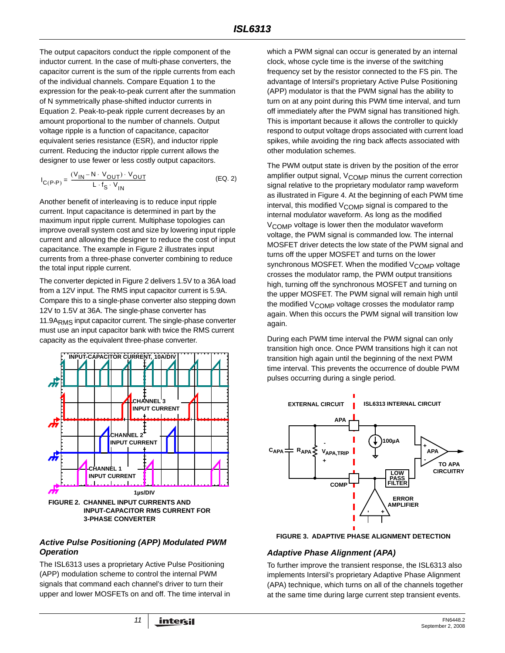The output capacitors conduct the ripple component of the inductor current. In the case of multi-phase converters, the capacitor current is the sum of the ripple currents from each of the individual channels. Compare Equation 1 to the expression for the peak-to-peak current after the summation of N symmetrically phase-shifted inductor currents in Equation 2. Peak-to-peak ripple current decreases by an amount proportional to the number of channels. Output voltage ripple is a function of capacitance, capacitor equivalent series resistance (ESR), and inductor ripple current. Reducing the inductor ripple current allows the designer to use fewer or less costly output capacitors.

$$
I_{C(P-P)} = \frac{(V_{1N} - N \cdot V_{OUT}) \cdot V_{OUT}}{L \cdot f_S \cdot V_{IN}}
$$
 (EQ. 2)

Another benefit of interleaving is to reduce input ripple current. Input capacitance is determined in part by the maximum input ripple current. Multiphase topologies can improve overall system cost and size by lowering input ripple current and allowing the designer to reduce the cost of input capacitance. The example in Figure 2 illustrates input currents from a three-phase converter combining to reduce the total input ripple current.

The converter depicted in Figure 2 delivers 1.5V to a 36A load from a 12V input. The RMS input capacitor current is 5.9A. Compare this to a single-phase converter also stepping down 12V to 1.5V at 36A. The single-phase converter has 11.9ARMS input capacitor current. The single-phase converter must use an input capacitor bank with twice the RMS current capacity as the equivalent three-phase converter.



#### *Active Pulse Positioning (APP) Modulated PWM Operation*

The ISL6313 uses a proprietary Active Pulse Positioning (APP) modulation scheme to control the internal PWM signals that command each channel's driver to turn their upper and lower MOSFETs on and off. The time interval in which a PWM signal can occur is generated by an internal clock, whose cycle time is the inverse of the switching frequency set by the resistor connected to the FS pin. The advantage of Intersil's proprietary Active Pulse Positioning (APP) modulator is that the PWM signal has the ability to turn on at any point during this PWM time interval, and turn off immediately after the PWM signal has transitioned high. This is important because it allows the controller to quickly respond to output voltage drops associated with current load spikes, while avoiding the ring back affects associated with other modulation schemes.

The PWM output state is driven by the position of the error amplifier output signal, V<sub>COMP</sub> minus the current correction signal relative to the proprietary modulator ramp waveform as illustrated in Figure 4. At the beginning of each PWM time interval, this modified V<sub>COMP</sub> signal is compared to the internal modulator waveform. As long as the modified V<sub>COMP</sub> voltage is lower then the modulator waveform voltage, the PWM signal is commanded low. The internal MOSFET driver detects the low state of the PWM signal and turns off the upper MOSFET and turns on the lower synchronous MOSFET. When the modified  $V_{\text{COMP}}$  voltage crosses the modulator ramp, the PWM output transitions high, turning off the synchronous MOSFET and turning on the upper MOSFET. The PWM signal will remain high until the modified V<sub>COMP</sub> voltage crosses the modulator ramp again. When this occurs the PWM signal will transition low again.

During each PWM time interval the PWM signal can only transition high once. Once PWM transitions high it can not transition high again until the beginning of the next PWM time interval. This prevents the occurrence of double PWM pulses occurring during a single period.



<span id="page-10-0"></span>**FIGURE 3. ADAPTIVE PHASE ALIGNMENT DETECTION**

### *Adaptive Phase Alignment (APA)*

To further improve the transient response, the ISL6313 also implements Intersil's proprietary Adaptive Phase Alignment (APA) technique, which turns on all of the channels together at the same time during large current step transient events.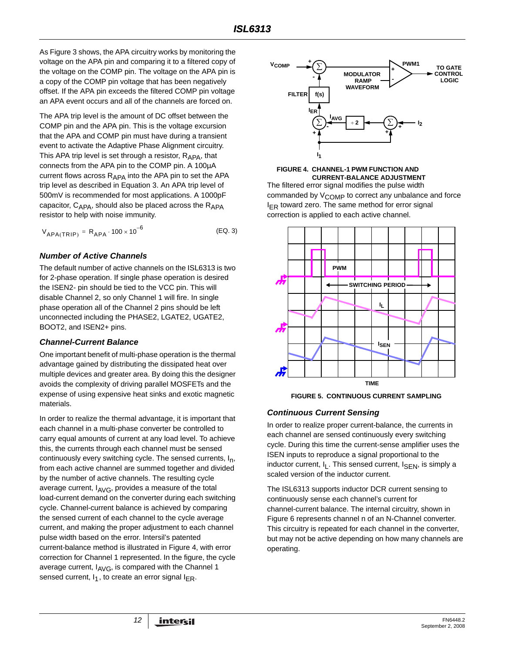As Figure [3](#page-10-0) shows, the APA circuitry works by monitoring the voltage on the APA pin and comparing it to a filtered copy of the voltage on the COMP pin. The voltage on the APA pin is a copy of the COMP pin voltage that has been negatively offset. If the APA pin exceeds the filtered COMP pin voltage an APA event occurs and all of the channels are forced on.

The APA trip level is the amount of DC offset between the COMP pin and the APA pin. This is the voltage excursion that the APA and COMP pin must have during a transient event to activate the Adaptive Phase Alignment circuitry. This APA trip level is set through a resistor,  $R_{APA}$ , that connects from the APA pin to the COMP pin. A 100µA current flows across  $R_{APA}$  into the APA pin to set the APA trip level as described in Equation [3.](#page-11-0) An APA trip level of 500mV is recommended for most applications. A 1000pF capacitor,  $C_{APA}$ , should also be placed across the  $R_{APA}$ resistor to help with noise immunity.

$$
V_{APA(TRIP)} = R_{APA} \cdot 100 \times 10^{-6}
$$
 (EQ. 3)

### *Number of Active Channels*

The default number of active channels on the ISL6313 is two for 2-phase operation. If single phase operation is desired the ISEN2- pin should be tied to the VCC pin. This will disable Channel 2, so only Channel 1 will fire. In single phase operation all of the Channel 2 pins should be left unconnected including the PHASE2, LGATE2, UGATE2, BOOT2, and ISEN2+ pins.

### *Channel-Current Balance*

One important benefit of multi-phase operation is the thermal advantage gained by distributing the dissipated heat over multiple devices and greater area. By doing this the designer avoids the complexity of driving parallel MOSFETs and the expense of using expensive heat sinks and exotic magnetic materials.

In order to realize the thermal advantage, it is important that each channel in a multi-phase converter be controlled to carry equal amounts of current at any load level. To achieve this, the currents through each channel must be sensed continuously every switching cycle. The sensed currents,  $I_n$ , from each active channel are summed together and divided by the number of active channels. The resulting cycle average current,  $I_{AVG}$ , provides a measure of the total load-current demand on the converter during each switching cycle. Channel-current balance is achieved by comparing the sensed current of each channel to the cycle average current, and making the proper adjustment to each channel pulse width based on the error. Intersil's patented current-balance method is illustrated in Figure 4, with error correction for Channel 1 represented. In the figure, the cycle average current,  $I_{AVG}$ , is compared with the Channel 1 sensed current,  $I_1$ , to create an error signal  $I_{FR}$ .



#### The filtered error signal modifies the pulse width **FIGURE 4. CHANNEL-1 PWM FUNCTION AND CURRENT-BALANCE ADJUSTMENT**

commanded by V<sub>COMP</sub> to correct any unbalance and force I<sub>ER</sub> toward zero. The same method for error signal correction is applied to each active channel.

<span id="page-11-0"></span>

**FIGURE 5. CONTINUOUS CURRENT SAMPLING**

### <span id="page-11-1"></span>*Continuous Current Sensing*

In order to realize proper current-balance, the currents in each channel are sensed continuously every switching cycle. During this time the current-sense amplifier uses the ISEN inputs to reproduce a signal proportional to the inductor current,  $I_1$ . This sensed current,  $I_{\text{SFN}}$ , is simply a scaled version of the inductor current.

The ISL6313 supports inductor DCR current sensing to continuously sense each channel's current for channel-current balance. The internal circuitry, shown in Figure 6 represents channel n of an N-Channel converter. This circuitry is repeated for each channel in the converter, but may not be active depending on how many channels are operating.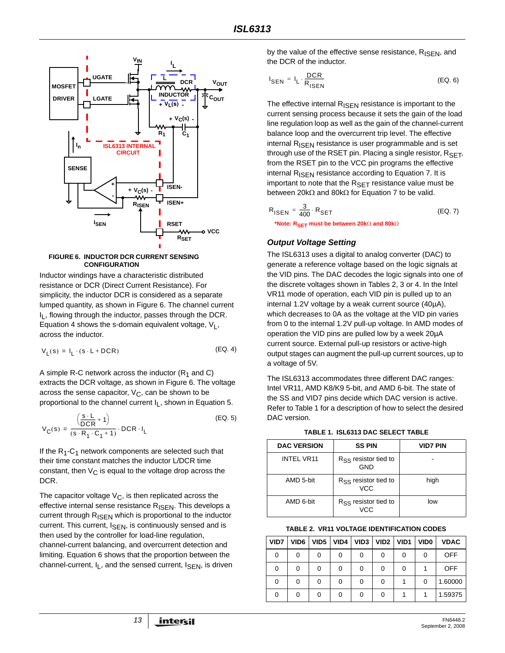

#### **FIGURE 6. INDUCTOR DCR CURRENT SENSING CONFIGURATION**

Inductor windings have a characteristic distributed resistance or DCR (Direct Current Resistance). For simplicity, the inductor DCR is considered as a separate lumped quantity, as shown in Figure 6. The channel current  $I<sub>L</sub>$ , flowing through the inductor, passes through the DCR. Equation 4 shows the s-domain equivalent voltage,  $V_1$ , across the inductor.

$$
V_{L}(s) = I_{L} \cdot (s \cdot L + DCR)
$$
 (EQ.4)

A simple R-C network across the inductor  $(R_1$  and C) extracts the DCR voltage, as shown in Figure 6. The voltage across the sense capacitor,  $V_C$ , can be shown to be proportional to the channel current  $I_1$ , shown in Equation 5.

$$
V_C(s) = \frac{\left(\frac{s \cdot L}{DCR} + 1\right)}{(s \cdot R_1 \cdot C_1 + 1)} \cdot DCR \cdot I_L
$$
 (EQ. 5)

If the  $R_1$ -C<sub>1</sub> network components are selected such that their time constant matches the inductor L/DCR time constant, then  $V_{\text{C}}$  is equal to the voltage drop across the DCR.

The capacitor voltage  $V_C$ , is then replicated across the effective internal sense resistance  $R_{\text{ISEN}}$ . This develops a current through R<sub>ISEN</sub> which is proportional to the inductor current. This current,  $I_{\text{SEN}}$ , is continuously sensed and is then used by the controller for load-line regulation, channel-current balancing, and overcurrent detection and limiting. Equation 6 shows that the proportion between the channel-current,  $I_L$ , and the sensed current,  $I_{\text{SEN}}$ , is driven by the value of the effective sense resistance,  $R_{\text{ISFN}}$ , and the DCR of the inductor.

$$
I_{\text{SEN}} = I_{\text{L}} \cdot \frac{\text{DCR}}{R_{\text{ISEN}}} \tag{Eq. 6}
$$

The effective internal  $R_{\text{ISEN}}$  resistance is important to the current sensing process because it sets the gain of the load line regulation loop as well as the gain of the channel-current balance loop and the overcurrent trip level. The effective internal R<sub>ISEN</sub> resistance is user programmable and is set through use of the RSET pin. Placing a single resistor,  $R_{\text{SET}}$ , from the RSET pin to the VCC pin programs the effective internal  $R_{\text{ISFN}}$  resistance according to Equation [7.](#page-12-1) It is important to note that the  $R_{\text{SET}}$  resistance value must be between 20kΩ and 80kΩ for Equation [7](#page-12-1) to be valid.

$$
R_{\text{ISEN}} = \frac{3}{400} \cdot R_{\text{SET}}
$$
 (EQ. 7)

<span id="page-12-1"></span>**\*Note: RSET must be between 20k**Ω **and 80k**Ω

#### *Output Voltage Setting*

The ISL6313 uses a digital to analog converter (DAC) to generate a reference voltage based on the logic signals at the VID pins. The DAC decodes the logic signals into one of the discrete voltages shown in Tables [2](#page-12-0), [3](#page-15-0) or [4](#page-15-1). In the Intel VR11 mode of operation, each VID pin is pulled up to an internal 1.2V voltage by a weak current source (40µA), which decreases to 0A as the voltage at the VID pin varies from 0 to the internal 1.2V pull-up voltage. In AMD modes of operation the VID pins are pulled low by a week 20µA current source. External pull-up resistors or active-high output stages can augment the pull-up current sources, up to a voltage of 5V.

. The ISL6313 accommodates three different DAC ranges: Intel VR11, AMD K8/K9 5-bit, and AMD 6-bit. The state of the SS and VID7 pins decide which DAC version is active. Refer to Table [1](#page-12-2) for a description of how to select the desired DAC version.

<span id="page-12-2"></span>

| <b>DAC VERSION</b> | <b>SS PIN</b>                                  | <b>VID7 PIN</b> |
|--------------------|------------------------------------------------|-----------------|
| <b>INTEL VR11</b>  | $R_{SS}$ resistor tied to<br><b>GND</b>        |                 |
| AMD 5-bit          | R <sub>SS</sub> resistor tied to<br><b>VCC</b> | high            |
| AMD 6-bit          | R <sub>SS</sub> resistor tied to<br>VCC.       | low             |

**TABLE 2. VR11 VOLTAGE IDENTIFICATION CODES**

<span id="page-12-0"></span>

| VID7     |   | VID6 VID5 | VID4 | VID3   VID2   VID1 |   |   | VID <sub>0</sub> | <b>VDAC</b> |
|----------|---|-----------|------|--------------------|---|---|------------------|-------------|
| 0        | 0 | $\Omega$  | 0    | 0                  | 0 | 0 | 0                | <b>OFF</b>  |
| 0        | 0 | 0         | 0    | 0                  | 0 | 0 |                  | <b>OFF</b>  |
| $\Omega$ | 0 | 0         | 0    | 0                  | 0 |   | 0                | 1.60000     |
| 0        | 0 | 0         | 0    | 0                  | 0 |   |                  | 1.59375     |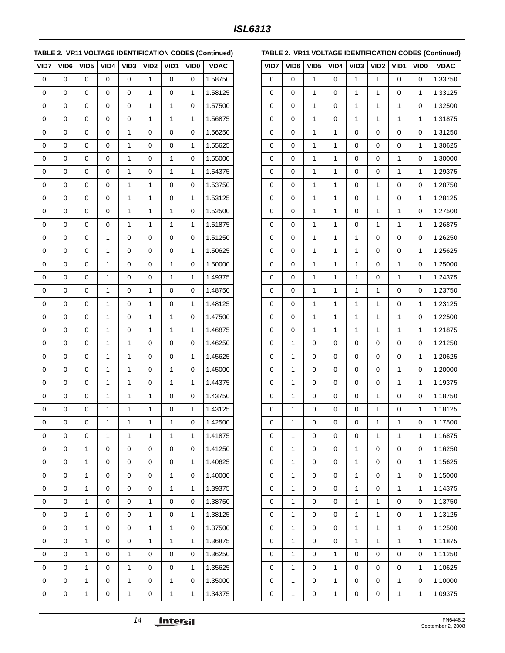#### **TABLE 2. VR11 VOLTAGE IDENTIFICATION CODES (Continued)**

| VID7        | VID <sub>6</sub> | VID <sub>5</sub> | VID4         | VID <sub>3</sub> | VID <sub>2</sub> | VID1 | VID <sub>0</sub> | <b>VDAC</b> |
|-------------|------------------|------------------|--------------|------------------|------------------|------|------------------|-------------|
| 0           | 0                | 0                | 0            | 0                | 1                | 0    | 0                | 1.58750     |
| 0           | 0                | 0                | 0            | $\mathbf 0$      | 1                | 0    | 1                | 1.58125     |
| 0           | 0                | 0                | 0            | 0                | $\mathbf{1}$     | 1    | 0                | 1.57500     |
| 0           | 0                | 0                | 0            | 0                | 1                | 1    | 1                | 1.56875     |
| 0           | 0                | 0                | 0            | 1                | 0                | 0    | 0                | 1.56250     |
| 0           | 0                | 0                | 0            | 1                | 0                | 0    | 1                | 1.55625     |
| 0           | 0                | 0                | 0            | 1                | 0                | 1    | 0                | 1.55000     |
| 0           | 0                | 0                | 0            | 1                | 0                | 1    | 1                | 1.54375     |
| 0           | 0                | 0                | 0            | 1                | 1                | 0    | 0                | 1.53750     |
| 0           | 0                | 0                | 0            | 1                | 1                | 0    | 1                | 1.53125     |
| 0           | 0                | 0                | 0            | 1                | 1                | 1    | 0                | 1.52500     |
| 0           | 0                | 0                | 0            | 1                | 1                | 1    | 1                | 1.51875     |
| 0           | 0                | $\pmb{0}$        | 1            | 0                | 0                | 0    | 0                | 1.51250     |
| 0           | 0                | 0                | 1            | 0                | 0                | 0    | 1                | 1.50625     |
| 0           | 0                | 0                | 1            | 0                | 0                | 1    | 0                | 1.50000     |
| 0           | 0                | 0                | 1            | 0                | 0                | 1    | 1                | 1.49375     |
| 0           | 0                | 0                | 1            | 0                | 1                | 0    | 0                | 1.48750     |
| 0           | 0                | 0                | 1            | 0                | 1                | 0    | 1                | 1.48125     |
| 0           | 0                | 0                | 1            | 0                | 1                | 1    | 0                | 1.47500     |
| 0           | 0                | 0                | 1            | 0                | 1                | 1    | 1                | 1.46875     |
| 0           | 0                | 0                | 1            | 1                | 0                | 0    | 0                | 1.46250     |
| 0           | 0                | 0                | 1            | 1                | 0                | 0    | 1                | 1.45625     |
| 0           | 0                | 0                | 1            | 1                | 0                | 1    | 0                | 1.45000     |
| 0           | 0                | 0                | 1            | 1                | 0                | 1    | 1                | 1.44375     |
| 0           | 0                | 0                | 1            | 1                | 1                | 0    | 0                | 1.43750     |
| 0           | 0                | 0                | 1            | 1                | 1                | 0    | 1                | 1.43125     |
| $\mathsf 0$ | 0                | 0                | $\mathbf{1}$ | 1                | $\mathbf{1}$     | 1    | 0                | 1.42500     |
| 0           | 0                | 0                | 1            | 1                | 1                | 1    | 1                | 1.41875     |
| 0           | 0                | 1                | 0            | 0                | 0                | 0    | 0                | 1.41250     |
| 0           | 0                | $\mathbf{1}$     | 0            | 0                | 0                | 0    | 1                | 1.40625     |
| 0           | 0                | 1                | 0            | 0                | 0                | 1    | 0                | 1.40000     |
| 0           | 0                | 1                | 0            | 0                | 0                | 1    | 1                | 1.39375     |
| 0           | 0                | $\mathbf{1}$     | 0            | 0                | $\mathbf{1}$     | 0    | 0                | 1.38750     |
| 0           | 0                | 1                | 0            | 0                | 1                | 0    | 1                | 1.38125     |
| 0           | 0                | 1                | 0            | 0                | 1                | 1    | 0                | 1.37500     |
| 0           | 0                | $\mathbf{1}$     | 0            | 0                | $\mathbf{1}$     | 1    | 1                | 1.36875     |
| 0           | 0                | 1                | 0            | 1                | 0                | 0    | 0                | 1.36250     |
| 0           | 0                | 1                | 0            | 1                | 0                | 0    | 1                | 1.35625     |
| 0           | 0                | $\mathbf{1}$     | 0            | $\mathbf{1}$     | 0                | 1    | 0                | 1.35000     |
| 0           | 0                | 1                | 0            | 1                | 0                | 1    | 1                | 1.34375     |

| TABLE 2. VR11 VOLTAGE IDENTIFICATION CODES (Continued) |  |
|--------------------------------------------------------|--|
|--------------------------------------------------------|--|

| VID7        | VID6         | VID <sub>5</sub> | VID4         | VID <sub>3</sub> | VID <sub>2</sub> | VID1         | VID <sub>0</sub> | <b>VDAC</b> |
|-------------|--------------|------------------|--------------|------------------|------------------|--------------|------------------|-------------|
| 0           | 0            | 1                | 0            | 1                | 1                | 0            | 0                | 1.33750     |
| $\mathbf 0$ | 0            | $\mathbf{1}$     | 0            | 1                | $\mathbf{1}$     | 0            | 1                | 1.33125     |
| 0           | 0            | 1                | 0            | $\mathbf{1}$     | $\mathbf{1}$     | $\mathbf{1}$ | 0                | 1.32500     |
| 0           | 0            | 1                | 0            | 1                | 1                | 1            | 1                | 1.31875     |
| 0           | 0            | $\mathbf{1}$     | 1            | 0                | 0                | 0            | 0                | 1.31250     |
| 0           | 0            | 1                | $\mathbf{1}$ | 0                | 0                | 0            | 1                | 1.30625     |
| 0           | 0            | 1                | 1            | 0                | 0                | 1            | 0                | 1.30000     |
| 0           | 0            | $\mathbf{1}$     | 1            | 0                | 0                | 1            | 1                | 1.29375     |
| 0           | 0            | 1                | $\mathbf{1}$ | 0                | $\mathbf{1}$     | 0            | 0                | 1.28750     |
| 0           | 0            | 1                | 1            | 0                | 1                | 0            | 1                | 1.28125     |
| 0           | 0            | $\mathbf{1}$     | 1            | 0                | 1                | 1            | 0                | 1.27500     |
| 0           | 0            | 1                | $\mathbf{1}$ | 0                | 1                | $\mathbf{1}$ | 1                | 1.26875     |
| 0           | 0            | 1                | 1            | 1                | 0                | 0            | 0                | 1.26250     |
| 0           | 0            | $\mathbf{1}$     | 1            | 1                | 0                | 0            | 1                | 1.25625     |
| 0           | 0            | 1                | $\mathbf{1}$ | $\mathbf{1}$     | 0                | $\mathbf{1}$ | 0                | 1.25000     |
| 0           | 0            | 1                | 1            | 1                | 0                | 1            | 1                | 1.24375     |
| 0           | 0            | $\mathbf{1}$     | 1            | 1                | $\mathbf{1}$     | 0            | 0                | 1.23750     |
| 0           | 0            | 1                | $\mathbf{1}$ | 1                | $\mathbf{1}$     | 0            | 1                | 1.23125     |
| 0           | 0            | 1                | 1            | 1                | 1                | 1            | 0                | 1.22500     |
| 0           | 0            | $\mathbf{1}$     | 1            | 1                | 1                | 1            | 1                | 1.21875     |
| 0           | $\mathbf{1}$ | 0                | 0            | 0                | 0                | 0            | 0                | 1.21250     |
| 0           | 1            | 0                | 0            | 0                | 0                | 0            | 1                | 1.20625     |
| 0           | 1            | 0                | 0            | 0                | 0                | 1            | 0                | 1.20000     |
| 0           | 1            | 0                | 0            | 0                | 0                | $\mathbf{1}$ | 1                | 1.19375     |
| 0           | 1            | 0                | 0            | 0                | 1                | 0            | 0                | 1.18750     |
| 0           | 1            | 0                | 0            | 0                | $\mathbf 1$      | 0            | $\mathbf{1}$     | 1.18125     |
| $\mathsf 0$ | 1            | 0                | 0            | 0                | 1                | 1            | 0                | 1.17500     |
| 0           | 1            | 0                | 0            | 0                | 1                | 1            | 1                | 1.16875     |
| 0           | 1            | 0                | 0            | 1                | 0                | 0            | 0                | 1.16250     |
| 0           | 1            | 0                | 0            | 1                | 0                | 0            | 1                | 1.15625     |
| 0           | 1            | 0                | 0            | 1                | 0                | 1            | 0                | 1.15000     |
| 0           | 1            | 0                | 0            | 1                | 0                | 1            | 1                | 1.14375     |
| 0           | 1            | 0                | 0            | 1                | 1                | 0            | 0                | 1.13750     |
| 0           | 1            | 0                | 0            | 1                | 1                | 0            | 1                | 1.13125     |
| 0           | 1            | 0                | 0            | 1                | 1                | 1            | 0                | 1.12500     |
| 0           | 1            | 0                | 0            | 1                | 1                | 1            | 1                | 1.11875     |
| 0           | 1            | 0                | 1            | 0                | 0                | 0            | 0                | 1.11250     |
| 0           | 1            | 0                | 1            | 0                | 0                | 0            | 1                | 1.10625     |
| 0           | 1            | 0                | 1            | 0                | 0                | 1            | 0                | 1.10000     |
| 0           | 1            | 0                | 1            | 0                | 0                | 1            | 1                | 1.09375     |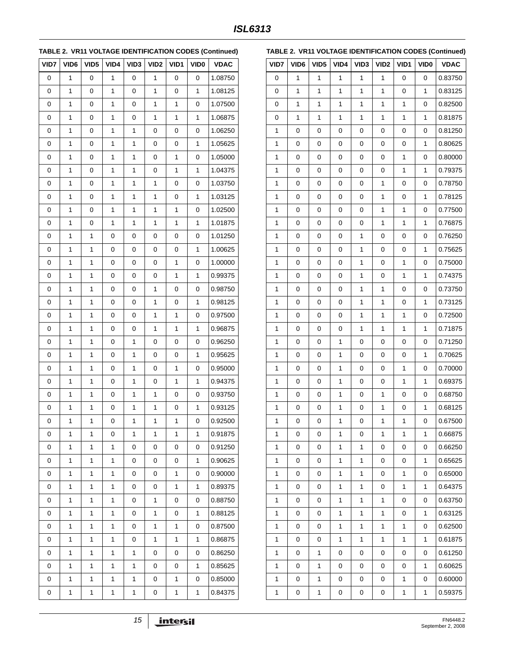#### **TABLE 2. VR11 VOLTAGE IDENTIFICATION CODES (Continued)**

| VID7        | VID <sub>6</sub> | VID <sub>5</sub> | VID4         | VID <sub>3</sub> | VID <sub>2</sub> | VID1         | VID <sub>0</sub> | <b>VDAC</b> |
|-------------|------------------|------------------|--------------|------------------|------------------|--------------|------------------|-------------|
| 0           | 1                | 0                | 1            | 0                | 1                | 0            | 0                | 1.08750     |
| $\mathbf 0$ | $\mathbf 1$      | 0                | $\mathbf{1}$ | 0                | $\mathbf{1}$     | $\mathbf 0$  | $\mathbf{1}$     | 1.08125     |
| 0           | 1                | 0                | 1            | 0                | 1                | $\mathbf{1}$ | 0                | 1.07500     |
| 0           | 1                | 0                | 1            | 0                | 1                | $\mathbf{1}$ | 1                | 1.06875     |
| 0           | 1                | 0                | 1            | 1                | 0                | $\mathbf 0$  | 0                | 1.06250     |
| 0           | 1                | 0                | 1            | 1                | 0                | 0            | 1                | 1.05625     |
| 0           | 1                | 0                | 1            | 1                | 0                | 1            | 0                | 1.05000     |
| 0           | 1                | 0                | 1            | $\mathbf 1$      | 0                | $\mathbf{1}$ | 1                | 1.04375     |
| 0           | 1                | 0                | 1            | 1                | 1                | 0            | 0                | 1.03750     |
| 0           | 1                | 0                | 1            | 1                | 1                | 0            | 1                | 1.03125     |
| 0           | 1                | 0                | 1            | 1                | 1                | $\mathbf{1}$ | 0                | 1.02500     |
| 0           | 1                | 0                | 1            | 1                | 1                | $\mathbf{1}$ | 1                | 1.01875     |
| 0           | 1                | 1                | 0            | 0                | 0                | 0            | 0                | 1.01250     |
| 0           | 1                | 1                | 0            | 0                | 0                | 0            | 1                | 1.00625     |
| 0           | 1                | 1                | 0            | 0                | 0                | 1            | 0                | 1.00000     |
| 0           | 1                | 1                | 0            | 0                | 0                | $\mathbf{1}$ | 1                | 0.99375     |
| 0           | 1                | 1                | 0            | 0                | 1                | $\pmb{0}$    | 0                | 0.98750     |
| 0           | 1                | 1                | 0            | 0                | 1                | 0            | 1                | 0.98125     |
| 0           | 1                | 1                | 0            | 0                | 1                | $\mathbf{1}$ | 0                | 0.97500     |
| 0           | 1                | 1                | 0            | 0                | $\mathbf 1$      | $\mathbf{1}$ | 1                | 0.96875     |
| 0           | 1                | 1                | 0            | 1                | 0                | 0            | 0                | 0.96250     |
| 0           | 1                | 1                | 0            | 1                | 0                | 0            | 1                | 0.95625     |
| 0           | 1                | 1                | 0            | 1                | 0                | $\mathbf{1}$ | 0                | 0.95000     |
| 0           | 1                | 1                | 0            | 1                | 0                | 1            | 1                | 0.94375     |
| 0           | 1                | 1                | 0            | 1                | 1                | 0            | 0                | 0.93750     |
| 0           | 1                | $\mathbf 1$      | 0            | $\mathbf 1$      | 1                | 0            | 1                | 0.93125     |
| 0           | 1                | 1                | 0            | $\mathbf 1$      | 1                | $\mathbf 1$  | 0                | 0.92500     |
| 0           | 1                | 1                | 0            | 1                | 1                | $\mathbf{1}$ | 1                | 0.91875     |
| 0           | 1                | 1                | 1            | 0                | 0                | 0            | 0                | 0.91250     |
| 0           | 1                | 1                | 1            | 0                | 0                | 0            | 1                | 0.90625     |
| 0           | 1                | 1                | 1            | 0                | 0                | 1            | 0                | 0.90000     |
| 0           | 1                | 1                | 1            | 0                | 0                | $\mathbf{1}$ | 1                | 0.89375     |
| 0           | 1                | 1                | 1            | 0                | 1                | 0            | 0                | 0.88750     |
| 0           | 1                | 1                | 1            | 0                | 1                | 0            | 1                | 0.88125     |
| 0           | 1                | 1                | 1            | 0                | 1                | $\mathbf{1}$ | 0                | 0.87500     |
| 0           | 1                | 1                | 1            | 0                | 1                | 1            | 1                | 0.86875     |
| 0           | 1                | 1                | 1            | 1                | 0                | 0            | 0                | 0.86250     |
| 0           | 1                | 1                | 1            | 1                | 0                | 0            | 1                | 0.85625     |
| 0           | 1                | 1                | 1            | 1                | 0                | 1            | 0                | 0.85000     |
| 0           | 1                | 1                | 1            | 1                | 0                | 1            | 1                | 0.84375     |

| :75 |  |  | $\Omega$ |
|-----|--|--|----------|
|     |  |  |          |

| TABLE 2. VR11 VOLTAGE IDENTIFICATION CODES (Continued) |
|--------------------------------------------------------|
|--------------------------------------------------------|

| VID7         | VID6 | VID <sub>5</sub> | VID4         | VID3        | VID <sub>2</sub> | VID1         | VID <sub>0</sub> | <b>VDAC</b> |
|--------------|------|------------------|--------------|-------------|------------------|--------------|------------------|-------------|
| 0            | 1    | 1                | 1            | 1           | 1                | 0            | 0                | 0.83750     |
| 0            | 1    | 1                | 1            | 1           | 1                | 0            | 1                | 0.83125     |
| 0            | 1    | 1                | 1            | $\mathbf 1$ | 1                | $\mathbf{1}$ | 0                | 0.82500     |
| 0            | 1    | 1                | 1            | 1           | 1                | 1            | 1                | 0.81875     |
| $\mathbf{1}$ | 0    | 0                | 0            | 0           | 0                | 0            | 0                | 0.81250     |
| 1            | 0    | 0                | 0            | 0           | 0                | 0            | 1                | 0.80625     |
| 1            | 0    | 0                | 0            | 0           | 0                | 1            | 0                | 0.80000     |
| $\mathbf{1}$ | 0    | 0                | 0            | 0           | 0                | 1            | 1                | 0.79375     |
| 1            | 0    | 0                | 0            | 0           | 1                | 0            | 0                | 0.78750     |
| 1            | 0    | 0                | 0            | 0           | 1                | 0            | 1                | 0.78125     |
| $\mathbf{1}$ | 0    | 0                | 0            | 0           | 1                | 1            | 0                | 0.77500     |
| 1            | 0    | 0                | 0            | 0           | 1                | $\mathbf 1$  | 1                | 0.76875     |
| 1            | 0    | 0                | 0            | 1           | 0                | 0            | 0                | 0.76250     |
| $\mathbf{1}$ | 0    | 0                | 0            | 1           | 0                | 0            | 1                | 0.75625     |
| 1            | 0    | 0                | 0            | 1           | 0                | $\mathbf 1$  | 0                | 0.75000     |
| 1            | 0    | 0                | 0            | 1           | 0                | $\mathbf{1}$ | 1                | 0.74375     |
| $\mathbf{1}$ | 0    | 0                | 0            | 1           | 1                | 0            | 0                | 0.73750     |
| 1            | 0    | 0                | 0            | 1           | 1                | 0            | 1                | 0.73125     |
| 1            | 0    | 0                | 0            | 1           | 1                | $\mathbf{1}$ | 0                | 0.72500     |
| $\mathbf{1}$ | 0    | 0                | 0            | 1           | 1                | 1            | 1                | 0.71875     |
| 1            | 0    | 0                | $\mathbf 1$  | 0           | 0                | 0            | 0                | 0.71250     |
| 1            | 0    | 0                | 1            | 0           | 0                | 0            | 1                | 0.70625     |
| $\mathbf{1}$ | 0    | 0                | 1            | 0           | 0                | 1            | 0                | 0.70000     |
| 1            | 0    | 0                | $\mathbf 1$  | 0           | 0                | $\mathbf 1$  | 1                | 0.69375     |
| 1            | 0    | 0                | 1            | 0           | 1                | 0            | 0                | 0.68750     |
| $\mathbf{1}$ | 0    | 0                | 1            | 0           | $\mathbf 1$      | 0            | 1                | 0.68125     |
| 1            | 0    | 0                | 1            | 0           | $\mathbf 1$      | $\mathbf{1}$ | 0                | 0.67500     |
| 1            | 0    | 0                | 1            | 0           | 1                | 1            | 1                | 0.66875     |
| 1            | 0    | 0                | 1            | 1           | 0                | 0            | 0                | 0.66250     |
| 1            | 0    | 0                | 1            | 1           | 0                | 0            | 1                | 0.65625     |
| 1            | 0    | 0                | 1            | 1           | 0                | 1            | 0                | 0.65000     |
| 1            | 0    | 0                | 1            | 1           | 0                | 1            | 1                | 0.64375     |
| 1            | 0    | 0                | 1            | 1           | 1                | 0            | 0                | 0.63750     |
| 1            | 0    | 0                | 1            | 1           | 1                | 0            | 1                | 0.63125     |
| 1            | 0    | 0                | $\mathbf{1}$ | 1           | 1                | 1            | 0                | 0.62500     |
| 1            | 0    | 0                | 1            | 1           | $\mathbf{1}$     | $\mathbf{1}$ | 1                | 0.61875     |
| 1            | 0    | 1                | 0            | 0           | 0                | 0            | 0                | 0.61250     |
| 1            | 0    | 1                | 0            | 0           | 0                | 0            | 1                | 0.60625     |
| 1            | 0    | 1                | 0            | 0           | 0                | 1            | 0                | 0.60000     |
| 1            | 0    | 1                | 0            | 0           | 0                | 1            | 1                | 0.59375     |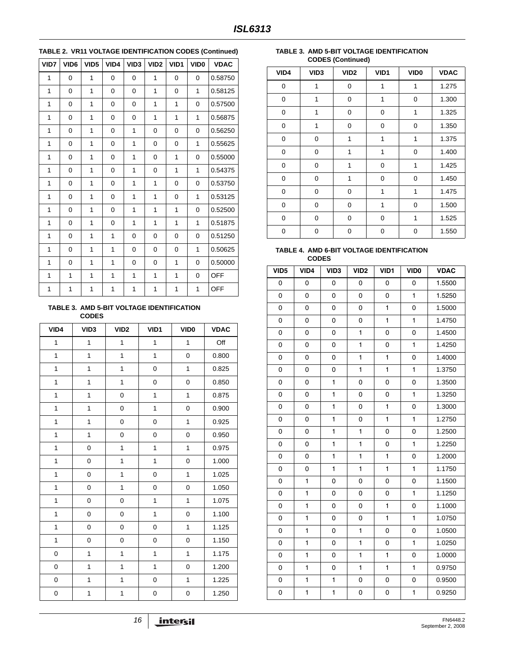## **TABLE 2. VR11 VOLTAGE IDENTIFICATION CODES (Continued)**

| VID7         | VID <sub>6</sub> | VID <sub>5</sub> | VID4 | VID <sub>3</sub> | VID <sub>2</sub> | VID1         | VID <sub>0</sub> | <b>VDAC</b> |
|--------------|------------------|------------------|------|------------------|------------------|--------------|------------------|-------------|
| 1            | 0                | 1                | 0    | 0                | 1                | 0            | $\mathbf 0$      | 0.58750     |
| 1            | 0                | 1                | 0    | 0                | 1                | 0            | 1                | 0.58125     |
| 1            | 0                | 1                | 0    | 0                | 1                | 1            | 0                | 0.57500     |
| 1            | $\Omega$         | 1                | 0    | $\Omega$         | 1                | 1            | 1                | 0.56875     |
| 1            | 0                | 1                | 0    | 1                | 0                | 0            | 0                | 0.56250     |
| 1            | $\Omega$         | 1                | 0    | 1                | 0                | $\Omega$     | 1                | 0.55625     |
| 1            | $\Omega$         | 1                | 0    | 1                | 0                | $\mathbf{1}$ | $\Omega$         | 0.55000     |
| 1            | 0                | 1                | 0    | 1                | 0                | $\mathbf{1}$ | 1                | 0.54375     |
| 1            | 0                | 1                | 0    | $\mathbf{1}$     | 1                | 0            | 0                | 0.53750     |
| 1            | 0                | 1                | 0    | 1                | 1                | 0            | 1                | 0.53125     |
| 1            | 0                | 1                | 0    | 1                | 1                | 1            | 0                | 0.52500     |
| 1            | 0                | 1                | 0    | 1                | 1                | 1            | 1                | 0.51875     |
| 1            | 0                | 1                | 1    | 0                | 0                | 0            | 0                | 0.51250     |
| 1            | $\Omega$         | 1                | 1    | 0                | 0                | 0            | 1                | 0.50625     |
| $\mathbf{1}$ | 0                | 1                | 1    | 0                | $\mathbf 0$      | 1            | $\mathbf 0$      | 0.50000     |
| 1            | 1                | 1                | 1    | 1                | 1                | 1            | $\mathbf 0$      | <b>OFF</b>  |
| 1            | 1                | 1                | 1    | 1                | 1                | 1            | 1                | <b>OFF</b>  |

<span id="page-15-0"></span>**TABLE 3. AMD 5-BIT VOLTAGE IDENTIFICATION CODES**

| VID4           | VID <sub>3</sub> | VID <sub>2</sub> | VID1         | VID <sub>0</sub> | <b>VDAC</b> |
|----------------|------------------|------------------|--------------|------------------|-------------|
| 1              | $\mathbf{1}$     | 1                | 1            | 1                | Off         |
| 1              | $\mathbf{1}$     | 1                | 1            | 0                | 0.800       |
| 1              | $\mathbf{1}$     | $\mathbf{1}$     | 0            | $\mathbf{1}$     | 0.825       |
| 1              | $\mathbf{1}$     | $\mathbf{1}$     | 0            | 0                | 0.850       |
| 1              | $\mathbf{1}$     | 0                | 1            | 1                | 0.875       |
| 1              | 1                | 0                | 1            | 0                | 0.900       |
| $\overline{1}$ | $\mathbf{1}$     | 0                | 0            | 1                | 0.925       |
| $\overline{1}$ | $\mathbf{1}$     | 0                | 0            | 0                | 0.950       |
| 1              | 0                | $\mathbf{1}$     | $\mathbf{1}$ | $\mathbf{1}$     | 0.975       |
| 1              | 0                | 1                | $\mathbf 1$  | 0                | 1.000       |
| 1              | $\mathbf 0$      | 1                | 0            | $\mathbf{1}$     | 1.025       |
| 1              | 0                | $\mathbf{1}$     | 0            | 0                | 1.050       |
| $\overline{1}$ | 0                | 0                | $\mathbf{1}$ | $\mathbf{1}$     | 1.075       |
| 1              | 0                | 0                | 1            | 0                | 1.100       |
| 1              | 0                | 0                | 0            | 1                | 1.125       |
| 1              | 0                | 0                | 0            | 0                | 1.150       |
| 0              | $\mathbf{1}$     | $\mathbf{1}$     | $\mathbf{1}$ | $\mathbf{1}$     | 1.175       |
| 0              | 1                | 1                | 1            | 0                | 1.200       |
| 0              | 1                | 1                | 0            | 1                | 1.225       |
| 0              | 1                | 1                | 0            | 0                | 1.250       |

#### **TABLE 3. AMD 5-BIT VOLTAGE IDENTIFICATION CODES (Continued)**

| VID4 | VID <sub>3</sub> | VID <sub>2</sub> | VID1 | VID <sub>0</sub> | <b>VDAC</b> |
|------|------------------|------------------|------|------------------|-------------|
| 0    | 1                | 0                | 1    | 1                | 1.275       |
| 0    | 1                | 0                | 1    | 0                | 1.300       |
| 0    | 1                | 0                | 0    | 1                | 1.325       |
| 0    | 1                | 0                | 0    | 0                | 1.350       |
| 0    | 0                | 1                | 1    | 1                | 1.375       |
| 0    | 0                | 1                | 1    | 0                | 1.400       |
| 0    | 0                | 1                | 0    | 1                | 1.425       |
| 0    | 0                | 1                | 0    | 0                | 1.450       |
| 0    | 0                | 0                | 1    | 1                | 1.475       |
| 0    | 0                | 0                | 1    | 0                | 1.500       |
| 0    | 0                | 0                | 0    | 1                | 1.525       |
| 0    | 0                | 0                | 0    | 0                | 1.550       |

#### <span id="page-15-1"></span>**TABLE 4. AMD 6-BIT VOLTAGE IDENTIFICATION CODES**

| VID <sub>5</sub> | VID4         | VID3         | VID <sub>2</sub> | VID1         | VID <sub>0</sub> | <b>VDAC</b> |
|------------------|--------------|--------------|------------------|--------------|------------------|-------------|
| 0                | 0            | 0            | 0                | 0            | 0                | 1.5500      |
| 0                | 0            | 0            | 0                | 0            | $\mathbf{1}$     | 1.5250      |
| 0                | 0            | 0            | 0                | $\mathbf{1}$ | 0                | 1.5000      |
| 0                | 0            | 0            | 0                | 1            | 1                | 1.4750      |
| 0                | 0            | 0            | 1                | 0            | 0                | 1.4500      |
| 0                | 0            | 0            | $\mathbf{1}$     | 0            | 1                | 1.4250      |
| 0                | 0            | 0            | 1                | 1            | 0                | 1.4000      |
| 0                | 0            | 0            | $\mathbf{1}$     | $\mathbf{1}$ | $\mathbf{1}$     | 1.3750      |
| 0                | 0            | $\mathbf{1}$ | 0                | 0            | 0                | 1.3500      |
| 0                | 0            | $\mathbf{1}$ | 0                | 0            | $\mathbf{1}$     | 1.3250      |
| 0                | 0            | $\mathbf{1}$ | 0                | $\mathbf{1}$ | 0                | 1.3000      |
| 0                | $\mathbf 0$  | $\mathbf{1}$ | 0                | $\mathbf{1}$ | 1                | 1.2750      |
| 0                | 0            | $\mathbf{1}$ | $\mathbf{1}$     | 0            | 0                | 1.2500      |
| 0                | 0            | 1            | $\mathbf{1}$     | 0            | $\mathbf{1}$     | 1.2250      |
| 0                | 0            | $\mathbf{1}$ | $\mathbf{1}$     | $\mathbf{1}$ | 0                | 1.2000      |
| 0                | 0            | 1            | 1                | 1            | 1                | 1.1750      |
| 0                | 1            | 0            | 0                | 0            | 0                | 1.1500      |
| 0                | 1            | 0            | 0                | 0            | 1                | 1.1250      |
| 0                | 1            | 0            | 0                | 1            | 0                | 1.1000      |
| 0                | 1            | 0            | 0                | 1            | 1                | 1.0750      |
| 0                | 1            | 0            | $\mathbf{1}$     | 0            | 0                | 1.0500      |
| 0                | $\mathbf{1}$ | 0            | $\mathbf{1}$     | 0            | $\mathbf{1}$     | 1.0250      |
| 0                | $\mathbf{1}$ | 0            | $\mathbf{1}$     | $\mathbf{1}$ | 0                | 1.0000      |
| $\mathbf 0$      | $\mathbf{1}$ | $\mathbf 0$  | $\mathbf{1}$     | $\mathbf{1}$ | $\mathbf{1}$     | 0.9750      |
| 0                | 1            | 1            | 0                | 0            | 0                | 0.9500      |
| 0                | 1            | 1            | 0                | 0            | 1                | 0.9250      |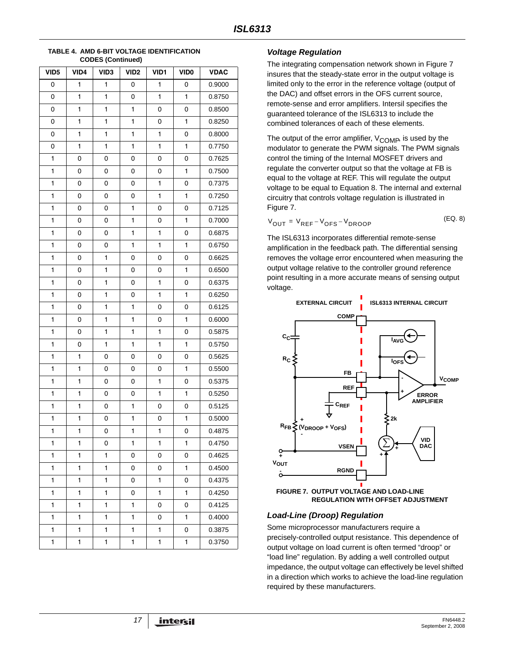| TABLE 4. AMD 6-BIT VOLTAGE IDENTIFICATION |
|-------------------------------------------|
| <b>CODES (Continued)</b>                  |

| VID <sub>5</sub> | VID4 | VID3 | VID <sub>2</sub> | VID1 | VID <sub>0</sub> | <b>VDAC</b> |
|------------------|------|------|------------------|------|------------------|-------------|
| 0                | 1    | 1    | 0                | 1    | 0                | 0.9000      |
| 0                | 1    | 1    | 0                | 1    | 1                | 0.8750      |
| 0                | 1    | 1    | 1                | 0    | 0                | 0.8500      |
| 0                | 1    | 1    | 1                | 0    | 1                | 0.8250      |
| 0                | 1    | 1    | 1                | 1    | 0                | 0.8000      |
| 0                | 1    | 1    | 1                | 1    | $\mathbf{1}$     | 0.7750      |
| 1                | 0    | 0    | 0                | 0    | 0                | 0.7625      |
| 1                | 0    | 0    | 0                | 0    | 1                | 0.7500      |
| 1                | 0    | 0    | 0                | 1    | 0                | 0.7375      |
| 1                | 0    | 0    | 0                | 1    | $\mathbf{1}$     | 0.7250      |
| 1                | 0    | 0    | 1                | 0    | 0                | 0.7125      |
| 1                | 0    | 0    | 1                | 0    | 1                | 0.7000      |
| 1                | 0    | 0    | 1                | 1    | 0                | 0.6875      |
| 1                | 0    | 0    | 1                | 1    | 1                | 0.6750      |
| 1                | 0    | 1    | 0                | 0    | 0                | 0.6625      |
| 1                | 0    | 1    | 0                | 0    | 1                | 0.6500      |
| 1                | 0    | 1    | 0                | 1    | 0                | 0.6375      |
| 1                | 0    | 1    | 0                | 1    | 1                | 0.6250      |
| 1                | 0    | 1    | 1                | 0    | 0                | 0.6125      |
| 1                | 0    | 1    | 1                | 0    | 1                | 0.6000      |
| 1                | 0    | 1    | 1                | 1    | 0                | 0.5875      |
| 1                | 0    | 1    | 1                | 1    | 1                | 0.5750      |
| 1                | 1    | 0    | 0                | 0    | 0                | 0.5625      |
| 1                | 1    | 0    | 0                | 0    | 1                | 0.5500      |
| 1                | 1    | 0    | 0                | 1    | 0                | 0.5375      |
| 1                | 1    | 0    | 0                | 1    | 1                | 0.5250      |
| 1                | 1    | 0    | 1                | 0    | 0                | 0.5125      |
| 1                | 1    | 0    | 1                | 0    | 1                | 0.5000      |
| 1                | 1    | 0    | 1                | 1    | 0                | 0.4875      |
| 1                | 1    | 0    | 1                | 1    | 1                | 0.4750      |
| 1                | 1    | 1    | 0                | 0    | $\mathsf 0$      | 0.4625      |
| 1                | 1    | 1    | 0                | 0    | 1                | 0.4500      |
| 1                | 1    | 1    | 0                | 1    | 0                | 0.4375      |
| 1                | 1    | 1    | 0                | 1    | 1                | 0.4250      |
| 1                | 1    | 1    | 1                | 0    | 0                | 0.4125      |
| 1                | 1    | 1    | 1                | 0    | 1                | 0.4000      |
| 1                | 1    | 1    | 1                | 1    | 0                | 0.3875      |
| 1                | 1    | 1    | 1                | 1    | 1                | 0.3750      |

#### *Voltage Regulation*

The integrating compensation network shown in Figure 7 insures that the steady-state error in the output voltage is limited only to the error in the reference voltage (output of the DAC) and offset errors in the OFS current source, remote-sense and error amplifiers. Intersil specifies the guaranteed tolerance of the ISL6313 to include the combined tolerances of each of these elements.

The output of the error amplifier,  $V_{\text{COMP}}$  is used by the modulator to generate the PWM signals. The PWM signals control the timing of the Internal MOSFET drivers and regulate the converter output so that the voltage at FB is equal to the voltage at REF. This will regulate the output voltage to be equal to Equation 8. The internal and external circuitry that controls voltage regulation is illustrated in Figure 7.

$$
V_{OUT} = V_{REF} - V_{OFS} - V_{DROOP}
$$
 (EQ. 8)

The ISL6313 incorporates differential remote-sense amplification in the feedback path. The differential sensing removes the voltage error encountered when measuring the output voltage relative to the controller ground reference point resulting in a more accurate means of sensing output voltage.



**FIGURE 7. OUTPUT VOLTAGE AND LOAD-LINE REGULATION WITH OFFSET ADJUSTMENT**

### *Load-Line (Droop) Regulation*

Some microprocessor manufacturers require a precisely-controlled output resistance. This dependence of output voltage on load current is often termed "droop" or "load line" regulation. By adding a well controlled output impedance, the output voltage can effectively be level shifted in a direction which works to achieve the load-line regulation required by these manufacturers.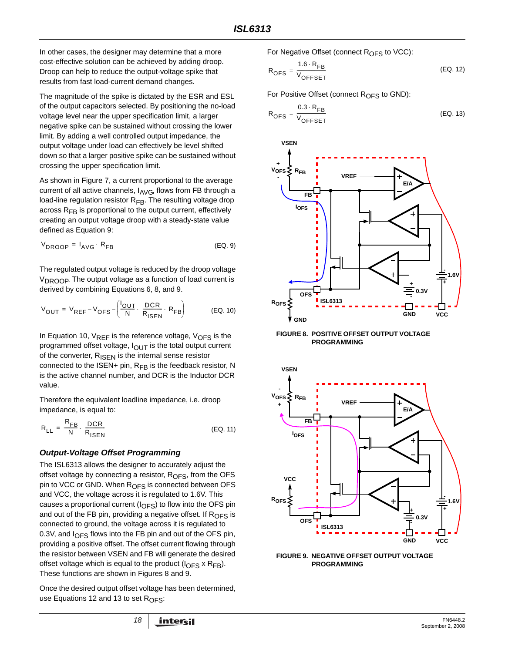In other cases, the designer may determine that a more cost-effective solution can be achieved by adding droop. Droop can help to reduce the output-voltage spike that results from fast load-current demand changes.

The magnitude of the spike is dictated by the ESR and ESL of the output capacitors selected. By positioning the no-load voltage level near the upper specification limit, a larger negative spike can be sustained without crossing the lower limit. By adding a well controlled output impedance, the output voltage under load can effectively be level shifted down so that a larger positive spike can be sustained without crossing the upper specification limit.

As shown in Figure 7, a current proportional to the average current of all active channels,  $I_{AVG}$ , flows from FB through a load-line regulation resistor  $R_{FB}$ . The resulting voltage drop across  $R_{FB}$  is proportional to the output current, effectively creating an output voltage droop with a steady-state value defined as Equation 9:

$$
V_{\text{DROOP}} = I_{\text{AVG}} \cdot R_{\text{FB}} \tag{EQ.9}
$$

The regulated output voltage is reduced by the droop voltage  $V_{\text{DROOP}}$ . The output voltage as a function of load current is derived by combining Equations 6, 8, and 9.

$$
V_{OUT} = V_{REF} - V_{OFS} - \left(\frac{I_{OUT}}{N} \cdot \frac{DCR}{R_{ISEN}} \cdot R_{FB}\right)
$$
 (EQ. 10)

In Equation 10,  $V_{REF}$  is the reference voltage,  $V_{OFF}$  is the programmed offset voltage,  $I_{\Omega UT}$  is the total output current of the converter,  $R_{\text{ISEN}}$  is the internal sense resistor connected to the ISEN+ pin,  $R_{FB}$  is the feedback resistor, N is the active channel number, and DCR is the Inductor DCR value.

Therefore the equivalent loadline impedance, i.e. droop impedance, is equal to:

$$
R_{LL} = \frac{R_{FB}}{N} \cdot \frac{DCR}{R_{ISEN}}
$$
 (EQ. 11)

#### *Output-Voltage Offset Programming*

The ISL6313 allows the designer to accurately adjust the offset voltage by connecting a resistor,  $R_{\text{OFS}}$ , from the OFS pin to VCC or GND. When R<sub>OFS</sub> is connected between OFS and VCC, the voltage across it is regulated to 1.6V. This causes a proportional current  $(I_{\text{OFS}})$  to flow into the OFS pin and out of the FB pin, providing a negative offset. If  $R_{\text{OFS}}$  is connected to ground, the voltage across it is regulated to 0.3V, and  $I<sub>OFS</sub>$  flows into the FB pin and out of the OFS pin, providing a positive offset. The offset current flowing through the resistor between VSEN and FB will generate the desired offset voltage which is equal to the product ( $I_{\text{OFS}}$  x R<sub>FB</sub>). These functions are shown in Figures [8](#page-17-0) and [9.](#page-17-1)

Once the desired output offset voltage has been determined, use Equations [12](#page-17-2) and [13](#page-17-3) to set R<sub>OFS</sub>:

For Negative Offset (connect  $R_{\text{OFS}}$  to VCC):

<span id="page-17-2"></span>
$$
R_{\text{OFS}} = \frac{1.6 \cdot R_{\text{FB}}}{V_{\text{OFFSET}}}
$$
 (EQ. 12)

For Positive Offset (connect R<sub>OFS</sub> to GND):

<span id="page-17-3"></span>
$$
R_{\text{OFS}} = \frac{0.3 \cdot R_{\text{FB}}}{V_{\text{OFFSET}}}
$$
 (EQ. 13)



<span id="page-17-0"></span>**FIGURE 8. POSITIVE OFFSET OUTPUT VOLTAGE PROGRAMMING** 



<span id="page-17-1"></span>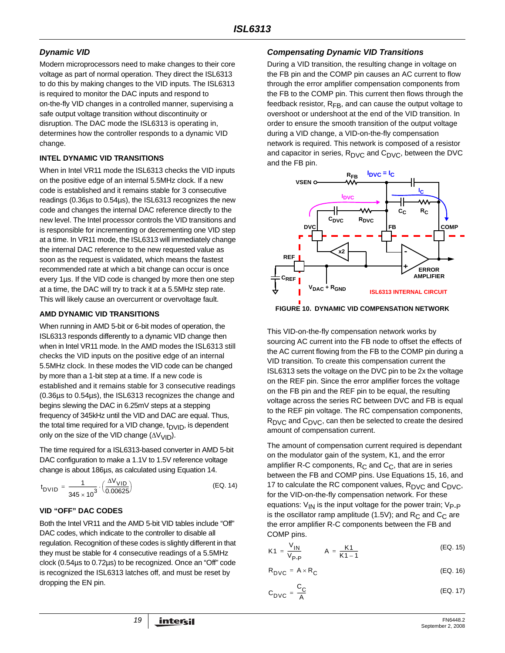## *Dynamic VID*

Modern microprocessors need to make changes to their core voltage as part of normal operation. They direct the ISL6313 to do this by making changes to the VID inputs. The ISL6313 is required to monitor the DAC inputs and respond to on-the-fly VID changes in a controlled manner, supervising a safe output voltage transition without discontinuity or disruption. The DAC mode the ISL6313 is operating in, determines how the controller responds to a dynamic VID change.

### **INTEL DYNAMIC VID TRANSITIONS**

When in Intel VR11 mode the ISL6313 checks the VID inputs on the positive edge of an internal 5.5MHz clock. If a new code is established and it remains stable for 3 consecutive readings (0.36µs to 0.54µs), the ISL6313 recognizes the new code and changes the internal DAC reference directly to the new level. The Intel processor controls the VID transitions and is responsible for incrementing or decrementing one VID step at a time. In VR11 mode, the ISL6313 will immediately change the internal DAC reference to the new requested value as soon as the request is validated, which means the fastest recommended rate at which a bit change can occur is once every 1µs. If the VID code is changed by more then one step at a time, the DAC will try to track it at a 5.5MHz step rate. This will likely cause an overcurrent or overvoltage fault.

### **AMD DYNAMIC VID TRANSITIONS**

When running in AMD 5-bit or 6-bit modes of operation, the ISL6313 responds differently to a dynamic VID change then when in Intel VR11 mode. In the AMD modes the ISL6313 still checks the VID inputs on the positive edge of an internal 5.5MHz clock. In these modes the VID code can be changed by more than a 1-bit step at a time. If a new code is established and it remains stable for 3 consecutive readings (0.36µs to 0.54µs), the ISL6313 recognizes the change and begins slewing the DAC in 6.25mV steps at a stepping frequency of 345kHz until the VID and DAC are equal. Thus, the total time required for a VID change,  $t<sub>DVID</sub>$ , is dependent only on the size of the VID change  $(\Delta V_{VID})$ .

The time required for a ISL6313-based converter in AMD 5-bit DAC configuration to make a 1.1V to 1.5V reference voltage change is about 186µs, as calculated using Equation 14.

$$
t_{\text{DVID}} = \frac{1}{345 \times 10^3} \cdot \left(\frac{\Delta V_{\text{VID}}}{0.00625}\right) \tag{Eq. 14}
$$

## **VID "OFF" DAC CODES**

Both the Intel VR11 and the AMD 5-bit VID tables include "Off" DAC codes, which indicate to the controller to disable all regulation. Recognition of these codes is slightly different in that they must be stable for 4 consecutive readings of a 5.5MHz clock (0.54µs to 0.72µs) to be recognized. Once an "Off" code is recognized the ISL6313 latches off, and must be reset by dropping the EN pin.

## *Compensating Dynamic VID Transitions*

During a VID transition, the resulting change in voltage on the FB pin and the COMP pin causes an AC current to flow through the error amplifier compensation components from the FB to the COMP pin. This current then flows through the feedback resistor,  $R_{FB}$ , and can cause the output voltage to overshoot or undershoot at the end of the VID transition. In order to ensure the smooth transition of the output voltage during a VID change, a VID-on-the-fly compensation network is required. This network is composed of a resistor and capacitor in series,  $R_{\text{DVC}}$  and  $C_{\text{DVC}}$ , between the DVC and the FB pin.



This VID-on-the-fly compensation network works by sourcing AC current into the FB node to offset the effects of the AC current flowing from the FB to the COMP pin during a VID transition. To create this compensation current the ISL6313 sets the voltage on the DVC pin to be 2x the voltage on the REF pin. Since the error amplifier forces the voltage on the FB pin and the REF pin to be equal, the resulting voltage across the series RC between DVC and FB is equal to the REF pin voltage. The RC compensation components,  $R_{\text{DVC}}$  and  $C_{\text{DVC}}$ , can then be selected to create the desired amount of compensation current.

The amount of compensation current required is dependant on the modulator gain of the system, K1, and the error amplifier R-C components,  $R_C$  and  $C_C$ , that are in series between the FB and COMP pins. Use Equations [15](#page-18-0), [16,](#page-18-1) and [17](#page-18-2) to calculate the RC component values,  $R_{\text{DVC}}$  and  $C_{\text{DVC}}$ , for the VID-on-the-fly compensation network. For these equations:  $V_{IN}$  is the input voltage for the power train;  $V_{P-P}$ is the oscillator ramp amplitude (1.5V); and  $R<sub>C</sub>$  and  $C<sub>C</sub>$  are the error amplifier R-C components between the FB and COMP pins.

<span id="page-18-0"></span>
$$
K1 = \frac{V_{1N}}{V_{P-P}} \qquad A = \frac{K1}{K1 - 1}
$$
 (EQ. 15)

$$
R_{\text{DVC}} = A \times R_{\text{C}} \tag{Eq. 16}
$$

<span id="page-18-2"></span><span id="page-18-1"></span>
$$
C_{\text{DVC}} = \frac{C_{\text{C}}}{A} \tag{Eq. 17}
$$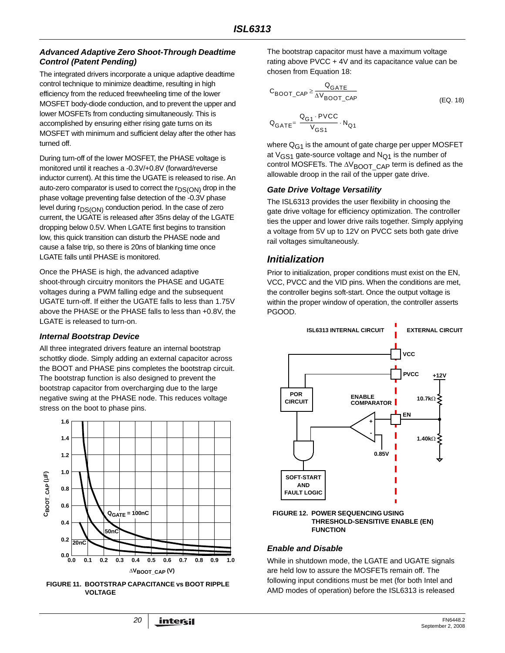#### *Advanced Adaptive Zero Shoot-Through Deadtime Control (Patent Pending)*

The integrated drivers incorporate a unique adaptive deadtime control technique to minimize deadtime, resulting in high efficiency from the reduced freewheeling time of the lower MOSFET body-diode conduction, and to prevent the upper and lower MOSFETs from conducting simultaneously. This is accomplished by ensuring either rising gate turns on its MOSFET with minimum and sufficient delay after the other has turned off.

During turn-off of the lower MOSFET, the PHASE voltage is monitored until it reaches a -0.3V/+0.8V (forward/reverse inductor current). At this time the UGATE is released to rise. An auto-zero comparator is used to correct the  $r_{DS(ON)}$  drop in the phase voltage preventing false detection of the -0.3V phase level during r<sub>DS(ON)</sub> conduction period. In the case of zero current, the UGATE is released after 35ns delay of the LGATE dropping below 0.5V. When LGATE first begins to transition low, this quick transition can disturb the PHASE node and cause a false trip, so there is 20ns of blanking time once LGATE falls until PHASE is monitored.

Once the PHASE is high, the advanced adaptive shoot-through circuitry monitors the PHASE and UGATE voltages during a PWM falling edge and the subsequent UGATE turn-off. If either the UGATE falls to less than 1.75V above the PHASE or the PHASE falls to less than +0.8V, the LGATE is released to turn-on.

#### *Internal Bootstrap Device*

All three integrated drivers feature an internal bootstrap schottky diode. Simply adding an external capacitor across the BOOT and PHASE pins completes the bootstrap circuit. The bootstrap function is also designed to prevent the bootstrap capacitor from overcharging due to the large negative swing at the PHASE node. This reduces voltage stress on the boot to phase pins.



**FIGURE 11. BOOTSTRAP CAPACITANCE vs BOOT RIPPLE VOLTAGE**

The bootstrap capacitor must have a maximum voltage rating above PVCC + 4V and its capacitance value can be chosen from Equation 18:

$$
C_{\text{BOOT}\_\text{CAP}} \geq \frac{Q_{\text{GATE}}}{\Delta V_{\text{BOOT}\_\text{CAP}}}
$$
\n
$$
Q_{\text{GATE}} = \frac{Q_{\text{G1}} \cdot \text{PVCC}}{V_{\text{GS1}}} \cdot N_{\text{Q1}}
$$
\n(EQ. 18)

where  $Q_{G1}$  is the amount of gate charge per upper MOSFET at  $V_{GS1}$  gate-source voltage and  $N_{Q1}$  is the number of control MOSFETs. The  $\Delta V_{\text{B}\cap\Omega T}$  CAP term is defined as the allowable droop in the rail of the upper gate drive.

#### *Gate Drive Voltage Versatility*

The ISL6313 provides the user flexibility in choosing the gate drive voltage for efficiency optimization. The controller ties the upper and lower drive rails together. Simply applying a voltage from 5V up to 12V on PVCC sets both gate drive rail voltages simultaneously.

## *Initialization*

Prior to initialization, proper conditions must exist on the EN, VCC, PVCC and the VID pins. When the conditions are met, the controller begins soft-start. Once the output voltage is within the proper window of operation, the controller asserts PGOOD.



#### **FUNCTION**

#### <span id="page-19-0"></span>*Enable and Disable*

While in shutdown mode, the LGATE and UGATE signals are held low to assure the MOSFETs remain off. The following input conditions must be met (for both Intel and AMD modes of operation) before the ISL6313 is released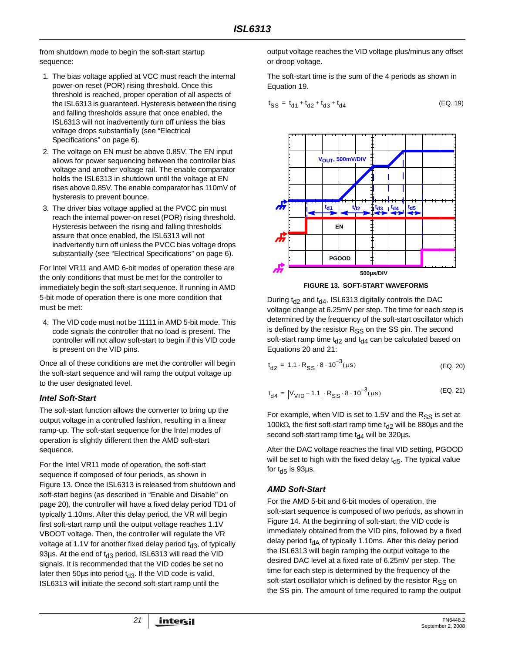from shutdown mode to begin the soft-start startup sequence:

- 1. The bias voltage applied at VCC must reach the internal power-on reset (POR) rising threshold. Once this threshold is reached, proper operation of all aspects of the ISL6313 is guaranteed. Hysteresis between the rising and falling thresholds assure that once enabled, the ISL6313 will not inadvertently turn off unless the bias voltage drops substantially (see "Electrical Specifications" on page [6\)](#page-5-2).
- 2. The voltage on EN must be above 0.85V. The EN input allows for power sequencing between the controller bias voltage and another voltage rail. The enable comparator holds the ISL6313 in shutdown until the voltage at EN rises above 0.85V. The enable comparator has 110mV of hysteresis to prevent bounce.
- 3. The driver bias voltage applied at the PVCC pin must reach the internal power-on reset (POR) rising threshold. Hysteresis between the rising and falling thresholds assure that once enabled, the ISL6313 will not inadvertently turn off unless the PVCC bias voltage drops substantially (see "Electrical Specifications" on page [6\)](#page-5-3).

For Intel VR11 and AMD 6-bit modes of operation these are the only conditions that must be met for the controller to immediately begin the soft-start sequence. If running in AMD 5-bit mode of operation there is one more condition that must be met:

4. The VID code must not be 11111 in AMD 5-bit mode. This code signals the controller that no load is present. The controller will not allow soft-start to begin if this VID code is present on the VID pins.

Once all of these conditions are met the controller will begin the soft-start sequence and will ramp the output voltage up to the user designated level.

#### *Intel Soft-Start*

The soft-start function allows the converter to bring up the output voltage in a controlled fashion, resulting in a linear ramp-up. The soft-start sequence for the Intel modes of operation is slightly different then the AMD soft-start sequence.

For the Intel VR11 mode of operation, the soft-start sequence if composed of four periods, as shown in Figure 13. Once the ISL6313 is released from shutdown and soft-start begins (as described in ["Enable and Disable" on](#page-19-0)  [page 20](#page-19-0)), the controller will have a fixed delay period TD1 of typically 1.10ms. After this delay period, the VR will begin first soft-start ramp until the output voltage reaches 1.1V VBOOT voltage. Then, the controller will regulate the VR voltage at 1.1V for another fixed delay period  $t_{d3}$ , of typically 93 $\mu$ s. At the end of t<sub>d3</sub> period, ISL6313 will read the VID signals. It is recommended that the VID codes be set no later then 50 $\mu$ s into period  $t_{d3}$ . If the VID code is valid, ISL6313 will initiate the second soft-start ramp until the

output voltage reaches the VID voltage plus/minus any offset or droop voltage.

The soft-start time is the sum of the 4 periods as shown in Equation 19.

$$
t_{SS} = t_{d1} + t_{d2} + t_{d3} + t_{d4}
$$
 (EQ. 19)



**FIGURE 13. SOFT-START WAVEFORMS**

During  $t_{d2}$  and  $t_{d4}$ , ISL6313 digitally controls the DAC voltage change at 6.25mV per step. The time for each step is determined by the frequency of the soft-start oscillator which is defined by the resistor R<sub>SS</sub> on the SS pin. The second soft-start ramp time  $t_{d2}$  and  $t_{d4}$  can be calculated based on Equations 20 and 21:

$$
t_{d2} = 1.1 \cdot R_{SS} \cdot 8 \cdot 10^{-3} (\mu s) \tag{Eq. 20}
$$

$$
t_{d4} = |V_{VID} - 1.1| \cdot R_{SS} \cdot 8 \cdot 10^{-3} (\mu s)
$$
 (EQ. 21)

For example, when VID is set to 1.5V and the  $R_{SS}$  is set at 100kΩ, the first soft-start ramp time t<sub>d2</sub> will be 880µs and the second soft-start ramp time  $t_{d4}$  will be 320µs.

After the DAC voltage reaches the final VID setting, PGOOD will be set to high with the fixed delay  $t_{\text{d5}}$ . The typical value for  $t_{\text{d5}}$  is 93µs.

### *AMD Soft-Start*

For the AMD 5-bit and 6-bit modes of operation, the soft-start sequence is composed of two periods, as shown in Figure 14. At the beginning of soft-start, the VID code is immediately obtained from the VID pins, followed by a fixed delay period  $t_{dA}$  of typically 1.10ms. After this delay period the ISL6313 will begin ramping the output voltage to the desired DAC level at a fixed rate of 6.25mV per step. The time for each step is determined by the frequency of the soft-start oscillator which is defined by the resistor  $R_{SS}$  on the SS pin. The amount of time required to ramp the output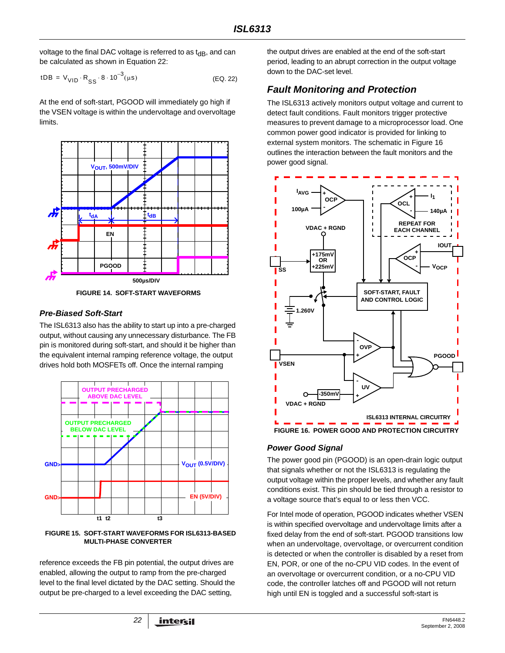voltage to the final DAC voltage is referred to as  $t_{dB}$ , and can be calculated as shown in Equation [22](#page-21-0):

tDB = 
$$
V_{VID} \cdot R_{SS} \cdot 8 \cdot 10^{-3} (\mu s)
$$
 (EQ. 22)

At the end of soft-start, PGOOD will immediately go high if the VSEN voltage is within the undervoltage and overvoltage limits.



**FIGURE 14. SOFT-START WAVEFORMS**

#### *Pre-Biased Soft-Start*

The ISL6313 also has the ability to start up into a pre-charged output, without causing any unnecessary disturbance. The FB pin is monitored during soft-start, and should it be higher than the equivalent internal ramping reference voltage, the output drives hold both MOSFETs off. Once the internal ramping



**FIGURE 15. SOFT-START WAVEFORMS FOR ISL6313-BASED MULTI-PHASE CONVERTER**

reference exceeds the FB pin potential, the output drives are enabled, allowing the output to ramp from the pre-charged level to the final level dictated by the DAC setting. Should the output be pre-charged to a level exceeding the DAC setting,

the output drives are enabled at the end of the soft-start period, leading to an abrupt correction in the output voltage down to the DAC-set level.

# <span id="page-21-0"></span>*Fault Monitoring and Protection*

The ISL6313 actively monitors output voltage and current to detect fault conditions. Fault monitors trigger protective measures to prevent damage to a microprocessor load. One common power good indicator is provided for linking to external system monitors. The schematic in Figure 16 outlines the interaction between the fault monitors and the power good signal.



#### *Power Good Signal*

The power good pin (PGOOD) is an open-drain logic output that signals whether or not the ISL6313 is regulating the output voltage within the proper levels, and whether any fault conditions exist. This pin should be tied through a resistor to a voltage source that's equal to or less then VCC.

For Intel mode of operation, PGOOD indicates whether VSEN is within specified overvoltage and undervoltage limits after a fixed delay from the end of soft-start. PGOOD transitions low when an undervoltage, overvoltage, or overcurrent condition is detected or when the controller is disabled by a reset from EN, POR, or one of the no-CPU VID codes. In the event of an overvoltage or overcurrent condition, or a no-CPU VID code, the controller latches off and PGOOD will not return high until EN is toggled and a successful soft-start is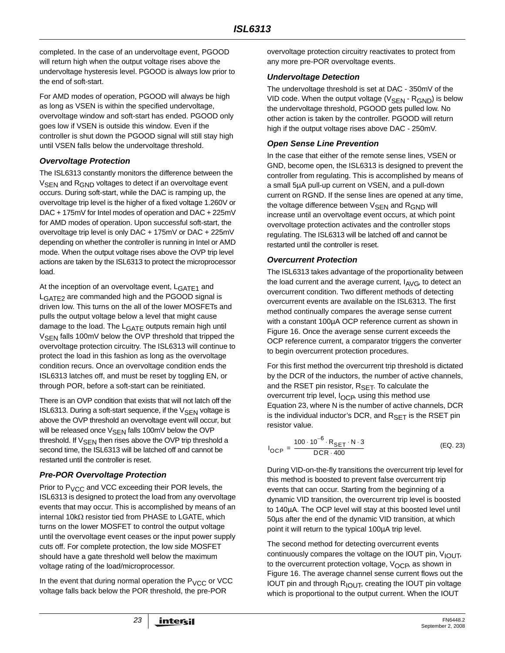completed. In the case of an undervoltage event, PGOOD will return high when the output voltage rises above the undervoltage hysteresis level. PGOOD is always low prior to the end of soft-start.

For AMD modes of operation, PGOOD will always be high as long as VSEN is within the specified undervoltage, overvoltage window and soft-start has ended. PGOOD only goes low if VSEN is outside this window. Even if the controller is shut down the PGOOD signal will still stay high until VSEN falls below the undervoltage threshold.

#### *Overvoltage Protection*

The ISL6313 constantly monitors the difference between the V<sub>SEN</sub> and R<sub>GND</sub> voltages to detect if an overvoltage event occurs. During soft-start, while the DAC is ramping up, the overvoltage trip level is the higher of a fixed voltage 1.260V or DAC + 175mV for Intel modes of operation and DAC + 225mV for AMD modes of operation. Upon successful soft-start, the overvoltage trip level is only DAC + 175mV or DAC + 225mV depending on whether the controller is running in Intel or AMD mode. When the output voltage rises above the OVP trip level actions are taken by the ISL6313 to protect the microprocessor load.

At the inception of an overvoltage event, L<sub>GATE1</sub> and L<sub>GATE2</sub> are commanded high and the PGOOD signal is driven low. This turns on the all of the lower MOSFETs and pulls the output voltage below a level that might cause damage to the load. The L<sub>GATE</sub> outputs remain high until V<sub>SFN</sub> falls 100mV below the OVP threshold that tripped the overvoltage protection circuitry. The ISL6313 will continue to protect the load in this fashion as long as the overvoltage condition recurs. Once an overvoltage condition ends the ISL6313 latches off, and must be reset by toggling EN, or through POR, before a soft-start can be reinitiated.

There is an OVP condition that exists that will not latch off the ISL6313. During a soft-start sequence, if the  $V_{\rm SFN}$  voltage is above the OVP threshold an overvoltage event will occur, but will be released once  $V_{\text{SEN}}$  falls 100mV below the OVP threshold. If  $V_{\text{SFN}}$  then rises above the OVP trip threshold a second time, the ISL6313 will be latched off and cannot be restarted until the controller is reset.

### *Pre-POR Overvoltage Protection*

Prior to  $P_{VCC}$  and VCC exceeding their POR levels, the ISL6313 is designed to protect the load from any overvoltage events that may occur. This is accomplished by means of an internal 10kΩ resistor tied from PHASE to LGATE, which turns on the lower MOSFET to control the output voltage until the overvoltage event ceases or the input power supply cuts off. For complete protection, the low side MOSFET should have a gate threshold well below the maximum voltage rating of the load/microprocessor.

In the event that during normal operation the  $P_{VCC}$  or VCC voltage falls back below the POR threshold, the pre-POR

overvoltage protection circuitry reactivates to protect from any more pre-POR overvoltage events.

#### *Undervoltage Detection*

The undervoltage threshold is set at DAC - 350mV of the VID code. When the output voltage ( $V_{\text{SEN}}$  -  $R_{\text{GND}}$ ) is below the undervoltage threshold, PGOOD gets pulled low. No other action is taken by the controller. PGOOD will return high if the output voltage rises above DAC - 250mV.

#### *Open Sense Line Prevention*

In the case that either of the remote sense lines, VSEN or GND, become open, the ISL6313 is designed to prevent the controller from regulating. This is accomplished by means of a small 5µA pull-up current on VSEN, and a pull-down current on RGND. If the sense lines are opened at any time, the voltage difference between  $V_{\text{SFN}}$  and  $R_{\text{GND}}$  will increase until an overvoltage event occurs, at which point overvoltage protection activates and the controller stops regulating. The ISL6313 will be latched off and cannot be restarted until the controller is reset.

#### *Overcurrent Protection*

The ISL6313 takes advantage of the proportionality between the load current and the average current,  $I_{AVG}$ , to detect an overcurrent condition. Two different methods of detecting overcurrent events are available on the ISL6313. The first method continually compares the average sense current with a constant 100µA OCP reference current as shown in Figure 16. Once the average sense current exceeds the OCP reference current, a comparator triggers the converter to begin overcurrent protection procedures.

For this first method the overcurrent trip threshold is dictated by the DCR of the inductors, the number of active channels, and the RSET pin resistor,  $R_{\text{SET}}$ . To calculate the overcurrent trip level,  $I_{OCP}$ , using this method use Equation 23, where N is the number of active channels, DCR is the individual inductor's DCR, and  $R_{\text{SET}}$  is the RSET pin resistor value.

$$
I_{OCP} = \frac{100 \cdot 10^{-6} \cdot R_{SET} \cdot N \cdot 3}{DCR \cdot 400}
$$
 (EQ. 23)

During VID-on-the-fly transitions the overcurrent trip level for this method is boosted to prevent false overcurrent trip events that can occur. Starting from the beginning of a dynamic VID transition, the overcurrent trip level is boosted to 140µA. The OCP level will stay at this boosted level until 50µs after the end of the dynamic VID transition, at which point it will return to the typical 100µA trip level.

The second method for detecting overcurrent events continuously compares the voltage on the IOUT pin,  $V_{10}U$ <sub>T</sub>, to the overcurrent protection voltage,  $V_{OCP}$ , as shown in Figure 16. The average channel sense current flows out the IOUT pin and through  $R_{\text{IOUT}}$ , creating the IOUT pin voltage which is proportional to the output current. When the IOUT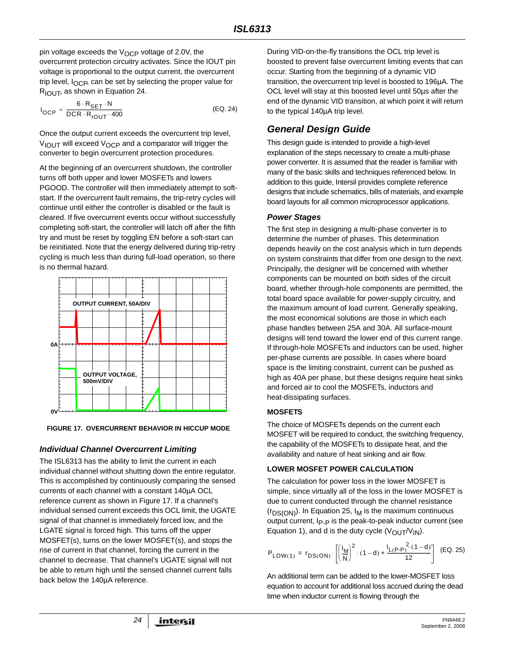pin voltage exceeds the  $V_{\text{OCP}}$  voltage of 2.0V, the overcurrent protection circuitry activates. Since the IOUT pin voltage is proportional to the output current, the overcurrent trip level, I<sub>OCP</sub>, can be set by selecting the proper value for  $R_{\text{IOU}}$ <sub>T</sub>, as shown in Equation 24.

$$
I_{OCP} = \frac{6 \cdot R_{SET} \cdot N}{DCR \cdot R_{IOUT} \cdot 400}
$$
 (EQ. 24)

Once the output current exceeds the overcurrent trip level,  $V_{\text{IOUT}}$  will exceed  $V_{\text{OCP}}$  and a comparator will trigger the converter to begin overcurrent protection procedures.

At the beginning of an overcurrent shutdown, the controller turns off both upper and lower MOSFETs and lowers PGOOD. The controller will then immediately attempt to softstart. If the overcurrent fault remains, the trip-retry cycles will continue until either the controller is disabled or the fault is cleared. If five overcurrent events occur without successfully completing soft-start, the controller will latch off after the fifth try and must be reset by toggling EN before a soft-start can be reinitiated. Note that the energy delivered during trip-retry cycling is much less than during full-load operation, so there is no thermal hazard.



#### <span id="page-23-0"></span>**FIGURE 17. OVERCURRENT BEHAVIOR IN HICCUP MODE**

#### *Individual Channel Overcurrent Limiting*

The ISL6313 has the ability to limit the current in each individual channel without shutting down the entire regulator. This is accomplished by continuously comparing the sensed currents of each channel with a constant 140µA OCL reference current as shown in Figure [17.](#page-23-0) If a channel's individual sensed current exceeds this OCL limit, the UGATE signal of that channel is immediately forced low, and the LGATE signal is forced high. This turns off the upper MOSFET(s), turns on the lower MOSFET(s), and stops the rise of current in that channel, forcing the current in the channel to decrease. That channel's UGATE signal will not be able to return high until the sensed channel current falls back below the 140µA reference.

During VID-on-the-fly transitions the OCL trip level is boosted to prevent false overcurrent limiting events that can occur. Starting from the beginning of a dynamic VID transition, the overcurrent trip level is boosted to 196µA. The OCL level will stay at this boosted level until 50µs after the end of the dynamic VID transition, at which point it will return to the typical 140µA trip level.

## *General Design Guide*

This design guide is intended to provide a high-level explanation of the steps necessary to create a multi-phase power converter. It is assumed that the reader is familiar with many of the basic skills and techniques referenced below. In addition to this guide, Intersil provides complete reference designs that include schematics, bills of materials, and example board layouts for all common microprocessor applications.

#### *Power Stages*

The first step in designing a multi-phase converter is to determine the number of phases. This determination depends heavily on the cost analysis which in turn depends on system constraints that differ from one design to the next. Principally, the designer will be concerned with whether components can be mounted on both sides of the circuit board, whether through-hole components are permitted, the total board space available for power-supply circuitry, and the maximum amount of load current. Generally speaking, the most economical solutions are those in which each phase handles between 25A and 30A. All surface-mount designs will tend toward the lower end of this current range. If through-hole MOSFETs and inductors can be used, higher per-phase currents are possible. In cases where board space is the limiting constraint, current can be pushed as high as 40A per phase, but these designs require heat sinks and forced air to cool the MOSFETs, inductors and heat-dissipating surfaces.

#### **MOSFETS**

The choice of MOSFETs depends on the current each MOSFET will be required to conduct, the switching frequency, the capability of the MOSFETs to dissipate heat, and the availability and nature of heat sinking and air flow.

#### **LOWER MOSFET POWER CALCULATION**

The calculation for power loss in the lower MOSFET is simple, since virtually all of the loss in the lower MOSFET is due to current conducted through the channel resistance  $(r_{DS(ON)})$ . In Equation 25,  $I_M$  is the maximum continuous output current, I<sub>P-P</sub> is the peak-to-peak inductor current (see Equation 1), and d is the duty cycle  $(V_{\text{OUT}}/V_{\text{IN}})$ .

$$
P_{LOW(1)} = r_{DS(ON)} \cdot \left[ \left( \frac{I_M}{N} \right)^2 \cdot (1 - d) + \frac{I_L(p \cdot p)^2 \cdot (1 - d)}{12} \right] \tag{EQ.25}
$$

An additional term can be added to the lower-MOSFET loss equation to account for additional loss accrued during the dead time when inductor current is flowing through the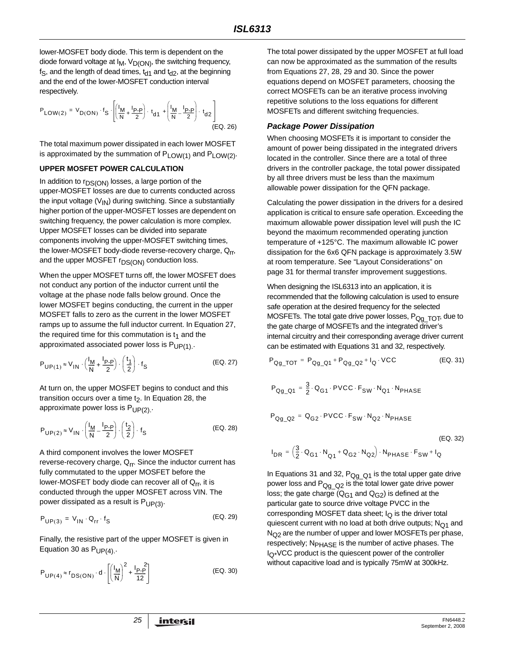lower-MOSFET body diode. This term is dependent on the diode forward voltage at  $I_M$ ,  $V_{D(ON)}$ , the switching frequency, fs, and the length of dead times,  $t_{d1}$  and  $t_{d2}$ , at the beginning and the end of the lower-MOSFET conduction interval respectively.

(EQ. 26) PLOW 2( ) VD ON ( ) <sup>f</sup> S I M N ------ <sup>I</sup> P-P <sup>2</sup> <sup>+</sup> ----------- ⎝ ⎠ ⎜ ⎟ ⎛ ⎞ t d1 <sup>⋅</sup> <sup>I</sup> M N ------ <sup>I</sup> P-P <sup>2</sup> – ----------- ⎝ ⎠ ⎜ ⎟ ⎜ ⎟ ⎛ ⎞ t d2 <sup>+</sup> <sup>⋅</sup> <sup>=</sup> ⋅ ⋅

The total maximum power dissipated in each lower MOSFET is approximated by the summation of  $P_{LOW(1)}$  and  $P_{LOW(2)}$ .

#### **UPPER MOSFET POWER CALCULATION**

In addition to r<sub>DS(ON)</sub> losses, a large portion of the upper-MOSFET losses are due to currents conducted across the input voltage  $(V_{\text{IN}})$  during switching. Since a substantially higher portion of the upper-MOSFET losses are dependent on switching frequency, the power calculation is more complex. Upper MOSFET losses can be divided into separate components involving the upper-MOSFET switching times, the lower-MOSFET body-diode reverse-recovery charge, Qrr, and the upper MOSFET  $r_{DS(ON)}$  conduction loss.

When the upper MOSFET turns off, the lower MOSFET does not conduct any portion of the inductor current until the voltage at the phase node falls below ground. Once the lower MOSFET begins conducting, the current in the upper MOSFET falls to zero as the current in the lower MOSFET ramps up to assume the full inductor current. In Equation 27, the required time for this commutation is  $t_1$  and the approximated associated power loss is  $P_{UP(1)}$ .

$$
P_{UP(1)} \approx V_{IN} \cdot \left(\frac{I_M}{N} + \frac{I_{P\text{-}P}}{2}\right) \cdot \left(\frac{t_1}{2}\right) \cdot f_S \tag{Eq. 27}
$$

At turn on, the upper MOSFET begins to conduct and this transition occurs over a time  $t<sub>2</sub>$ . In Equation 28, the approximate power loss is  $P_{UP(2)}$ .

$$
P_{UP(2)} \approx V_{1N} \cdot \left(\frac{I_M}{N} - \frac{I_{P-P}}{2}\right) \cdot \left(\frac{t_2}{2}\right) \cdot f_S
$$
 (EQ. 28)

A third component involves the lower MOSFET reverse-recovery charge,  $Q_{rr}$ . Since the inductor current has fully commutated to the upper MOSFET before the lower-MOSFET body diode can recover all of  $Q_{rr}$ , it is conducted through the upper MOSFET across VIN. The power dissipated as a result is  $P_{UP(3)}$ .

$$
P_{UP(3)} = V_{IN} \cdot Q_{rr} \cdot f_S
$$
 (EQ. 29)

Finally, the resistive part of the upper MOSFET is given in Equation 30 as  $P_{UP(4)}$ .

$$
P_{UP(4)} \approx r_{DS(ON)} \cdot d \cdot \left[ \left( \frac{I_M}{N} \right)^2 + \frac{I_{P-P}}{12} \right]
$$
 (EQ. 30)

The total power dissipated by the upper MOSFET at full load can now be approximated as the summation of the results from Equations 27, 28, 29 and 30. Since the power equations depend on MOSFET parameters, choosing the correct MOSFETs can be an iterative process involving repetitive solutions to the loss equations for different MOSFETs and different switching frequencies.

#### *Package Power Dissipation*

When choosing MOSFETs it is important to consider the amount of power being dissipated in the integrated drivers located in the controller. Since there are a total of three drivers in the controller package, the total power dissipated by all three drivers must be less than the maximum allowable power dissipation for the QFN package.

Calculating the power dissipation in the drivers for a desired application is critical to ensure safe operation. Exceeding the maximum allowable power dissipation level will push the IC beyond the maximum recommended operating junction temperature of +125°C. The maximum allowable IC power dissipation for the 6x6 QFN package is approximately 3.5W at room temperature. See ["Layout Considerations" on](#page-30-0)  [page 31](#page-30-0) for thermal transfer improvement suggestions.

When designing the ISL6313 into an application, it is recommended that the following calculation is used to ensure safe operation at the desired frequency for the selected MOSFETs. The total gate drive power losses, P<sub>Qg\_TOT</sub>, due to the gate charge of MOSFETs and the integrated driver's internal circuitry and their corresponding average driver current can be estimated with Equations 31 and 32, respectively.

$$
P_{Qg\_TOT} = P_{Qg\_Q1} + P_{Qg\_Q2} + I_Q \cdot VCC
$$
 (EQ. 31)

$$
\mathsf{P}_{\mathsf{Q} \mathsf{g\_Q1}} = \frac{3}{2} \cdot \mathsf{Q}_{\mathsf{G}1} \cdot \mathsf{PVCC} \cdot \mathsf{F}_{\mathsf{SW}} \cdot \mathsf{N}_{\mathsf{Q}1} \cdot \mathsf{N}_{\mathsf{PHASE}}
$$

$$
P_{Qg\_Q2} = Q_{G2} \cdot \text{PVCC} \cdot F_{SW} \cdot N_{Q2} \cdot N_{\text{PHASE}}
$$

$$
I_{DR} = \left(\frac{3}{2} \cdot Q_{G1} \cdot N_{Q1} + Q_{G2} \cdot N_{Q2}\right) \cdot N_{PHASE} \cdot F_{SW} + I_Q
$$
 (EQ. 32)

In Equations 31 and 32,  $P_{Qg_Q}$ <sub>1</sub> is the total upper gate drive power loss and  $P_{Qq-Q2}$  is the total lower gate drive power loss; the gate charge  $(Q_{G1}$  and  $Q_{G2})$  is defined at the particular gate to source drive voltage PVCC in the corresponding MOSFET data sheet;  $I<sub>O</sub>$  is the driver total quiescent current with no load at both drive outputs;  $N<sub>O1</sub>$  and  $N<sub>O2</sub>$  are the number of upper and lower MOSFETs per phase, respectively; N<sub>PHASE</sub> is the number of active phases. The  $I_{\Omega^*}$ VCC product is the quiescent power of the controller without capacitive load and is typically 75mW at 300kHz.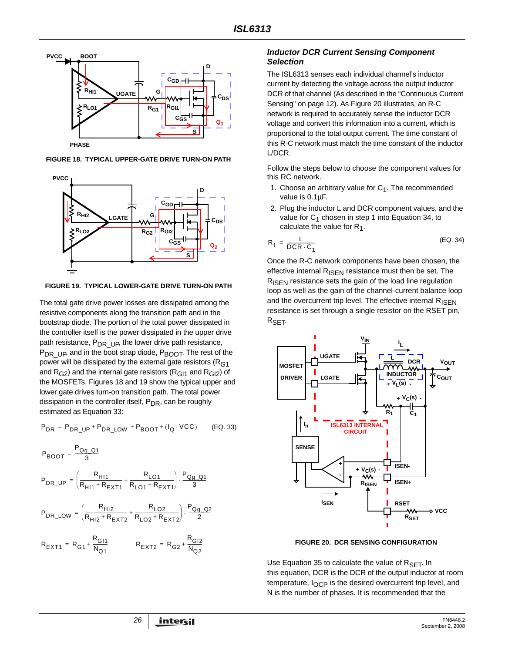

**FIGURE 18. TYPICAL UPPER-GATE DRIVE TURN-ON PATH**



**FIGURE 19. TYPICAL LOWER-GATE DRIVE TURN-ON PATH**

The total gate drive power losses are dissipated among the resistive components along the transition path and in the bootstrap diode. The portion of the total power dissipated in the controller itself is the power dissipated in the upper drive path resistance,  $P_{DR}$  Up, the lower drive path resistance, P<sub>DR UP</sub>, and in the boot strap diode, P<sub>BOOT</sub>. The rest of the power will be dissipated by the external gate resistors (R<sub>G1</sub> and  $R_{G2}$ ) and the internal gate resistors ( $R_{G11}$  and  $R_{G12}$ ) of the MOSFETs. Figures 18 and 19 show the typical upper and lower gate drives turn-on transition path. The total power dissipation in the controller itself,  $P_{DR}$ , can be roughly estimated as Equation [33](#page-25-0):

$$
P_{DR} = P_{DR\_UP} + P_{DR\_LOW} + P_{BOOT} + (I_Q \cdot VCC)
$$
 (EQ. 33)

$$
P_{BOOT} = \frac{P_{Qg\_Q1}}{3}
$$
\n
$$
P_{DR\_UP} = \left(\frac{R_{H11}}{R_{H11} + R_{EXT1}} + \frac{R_{LO1}}{R_{LO1} + R_{EXT1}}\right) \cdot \frac{P_{Qg\_Q1}}{3}
$$
\n
$$
P_{DR\_LOW} = \left(\frac{R_{H12}}{R_{H12} + R_{EXT2}} + \frac{R_{LO2}}{R_{LO2} + R_{EXT2}}\right) \cdot \frac{P_{Qg\_Q2}}{2}
$$
\n
$$
R_{EXT1} = R_{G1} + \frac{R_{G11}}{N_{Q1}}
$$
\n
$$
R_{EXT2} = R_{G2} + \frac{R_{G12}}{N_{Q2}}
$$

#### *Inductor DCR Current Sensing Component Selection*

The ISL6313 senses each individual channel's inductor current by detecting the voltage across the output inductor DCR of that channel (As described in the ["Continuous Current](#page-11-1)  [Sensing" on page 12](#page-11-1)). As Figure [20](#page-25-1) illustrates, an R-C network is required to accurately sense the inductor DCR voltage and convert this information into a current, which is proportional to the total output current. The time constant of this R-C network must match the time constant of the inductor L/DCR.

Follow the steps below to choose the component values for this RC network.

- 1. Choose an arbitrary value for  $C_1$ . The recommended value is 0.1µF.
- 2. Plug the inductor L and DCR component values, and the value for  $C_1$  chosen in step 1 into Equation 34, to calculate the value for  $R_1$ .

$$
R_1 = \frac{L}{DCR \cdot C_1}
$$
 (EQ. 34)

Once the R-C network components have been chosen, the effective internal R<sub>ISEN</sub> resistance must then be set. The R<sub>ISEN</sub> resistance sets the gain of the load line regulation loop as well as the gain of the channel-current balance loop and the overcurrent trip level. The effective internal  $R_{\text{ISEN}}$ resistance is set through a single resistor on the RSET pin, R<sub>SET</sub>.

<span id="page-25-0"></span>

**FIGURE 20. DCR SENSING CONFIGURATION**

<span id="page-25-1"></span>Use Equation [35](#page-26-0) to calculate the value of  $R_{\text{SET}}$ . In this equation, DCR is the DCR of the output inductor at room temperature,  $I_{OCP}$  is the desired overcurrent trip level, and N is the number of phases. It is recommended that the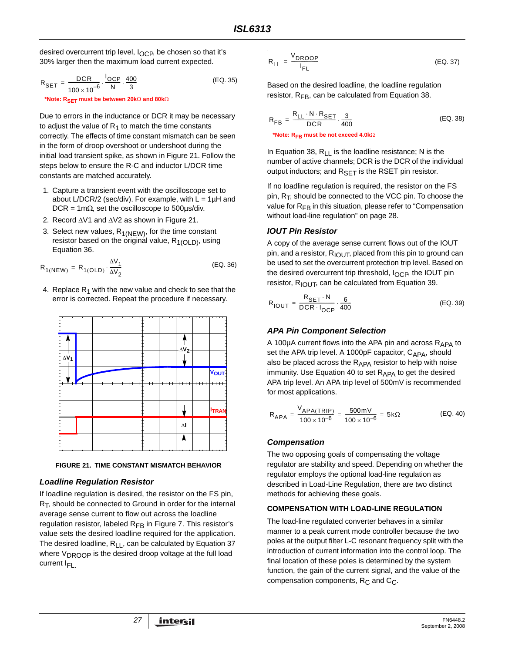desired overcurrent trip level,  $I_{OCP}$ , be chosen so that it's 30% larger then the maximum load current expected.

$$
R_{\text{SET}} = \frac{\text{DCR}}{100 \times 10^{-6}} \cdot \frac{10 \text{CP}}{\text{N}} \cdot \frac{400}{3}
$$
 (EQ. 35)

**\*Note: RSET must be between 20k**Ω **and 80k**Ω

Due to errors in the inductance or DCR it may be necessary to adjust the value of  $R_1$  to match the time constants correctly. The effects of time constant mismatch can be seen in the form of droop overshoot or undershoot during the initial load transient spike, as shown in Figure 21. Follow the steps below to ensure the R-C and inductor L/DCR time constants are matched accurately.

- 1. Capture a transient event with the oscilloscope set to about L/DCR/2 (sec/div). For example, with  $L = 1\mu H$  and DCR = 1m $\Omega$ , set the oscilloscope to 500 $\mu$ s/div.
- 2. Record ΔV1 and ΔV2 as shown in Figure 21.
- 3. Select new values,  $R_{1(NEW)}$ , for the time constant resistor based on the original value,  $R_{1(DLD)}$ , using Equation 36.

$$
R_{1(NEW)} = R_{1(OLD)} \cdot \frac{\Delta V_1}{\Delta V_2}
$$
 (EQ. 36)

4. Replace  $R_1$  with the new value and check to see that the error is corrected. Repeat the procedure if necessary.



**FIGURE 21. TIME CONSTANT MISMATCH BEHAVIOR**

#### *Loadline Regulation Resistor*

If loadline regulation is desired, the resistor on the FS pin,  $R<sub>T</sub>$ , should be connected to Ground in order for the internal average sense current to flow out across the loadline regulation resistor, labeled  $R_{FB}$  in Figure 7. This resistor's value sets the desired loadline required for the application. The desired loadline,  $R_{LL}$ , can be calculated by Equation 37 where V<sub>DROOP</sub> is the desired droop voltage at the full load current  $I_{\text{FI}}$ 

$$
R_{LL} = \frac{V_{DROOP}}{I_{FL}}
$$
 (EQ. 37)

<span id="page-26-0"></span>Based on the desired loadline, the loadline regulation resistor,  $R_{FB}$ , can be calculated from Equation 38.

$$
R_{FB} = \frac{R_{LL} \cdot N \cdot R_{SET}}{DCR} \cdot \frac{3}{400}
$$
 (EQ. 38)

<sup>\*</sup>Note: R<sub>FB</sub> must be not exceed 
$$
4.0k\Omega
$$

In Equation 38,  $R_{11}$  is the loadline resistance; N is the number of active channels; DCR is the DCR of the individual output inductors; and  $R_{\text{SFT}}$  is the RSET pin resistor.

If no loadline regulation is required, the resistor on the FS pin,  $R_T$ , should be connected to the VCC pin. To choose the value for  $R_{FR}$  in this situation, please refer to "Compensation" without load-line regulation" on page 28.

#### *IOUT Pin Resistor*

A copy of the average sense current flows out of the IOUT pin, and a resistor,  $R_{\text{IOUT}}$ , placed from this pin to ground can be used to set the overcurrent protection trip level. Based on the desired overcurrent trip threshold,  $I_{\Omega_{\text{CB}}}$  the IOUT pin resistor,  $R_{\text{IOUT}}$ , can be calculated from Equation 39.

$$
R_{\text{IOUT}} = \frac{R_{\text{SET}} \cdot N}{\text{DCR} \cdot I_{\text{OCP}}} \cdot \frac{6}{400}
$$
 (EQ. 39)

### *APA Pin Component Selection*

A 100 $\mu$ A current flows into the APA pin and across  $R_{APA}$  to set the APA trip level. A 1000pF capacitor, C<sub>APA</sub>, should also be placed across the  $R_{APA}$  resistor to help with noise immunity. Use Equation [40](#page-26-1) to set  $R_{APA}$  to get the desired APA trip level. An APA trip level of 500mV is recommended for most applications.

<span id="page-26-1"></span>
$$
R_{APA} = \frac{V_{APA(TRIP)}}{100 \times 10^{-6}} = \frac{500 \text{ mV}}{100 \times 10^{-6}} = 5 \text{k}\Omega
$$
 (EQ. 40)

### *Compensation*

The two opposing goals of compensating the voltage regulator are stability and speed. Depending on whether the regulator employs the optional load-line regulation as described in Load-Line Regulation, there are two distinct methods for achieving these goals.

#### **COMPENSATION WITH LOAD-LINE REGULATION**

The load-line regulated converter behaves in a similar manner to a peak current mode controller because the two poles at the output filter L-C resonant frequency split with the introduction of current information into the control loop. The final location of these poles is determined by the system function, the gain of the current signal, and the value of the compensation components,  $R_C$  and  $C_C$ .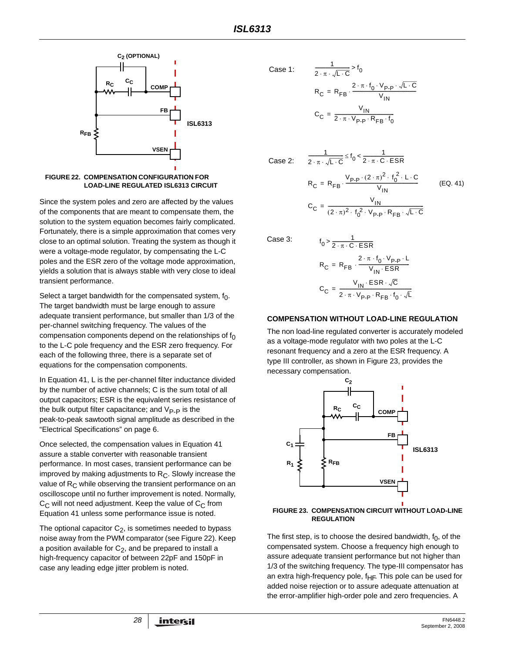



Since the system poles and zero are affected by the values of the components that are meant to compensate them, the solution to the system equation becomes fairly complicated. Fortunately, there is a simple approximation that comes very close to an optimal solution. Treating the system as though it were a voltage-mode regulator, by compensating the L-C poles and the ESR zero of the voltage mode approximation, yields a solution that is always stable with very close to ideal transient performance.

Select a target bandwidth for the compensated system,  $f_0$ . The target bandwidth must be large enough to assure adequate transient performance, but smaller than 1/3 of the per-channel switching frequency. The values of the compensation components depend on the relationships of  $f_0$ to the L-C pole frequency and the ESR zero frequency. For each of the following three, there is a separate set of equations for the compensation components.

In Equation 41, L is the per-channel filter inductance divided by the number of active channels; C is the sum total of all output capacitors; ESR is the equivalent series resistance of the bulk output filter capacitance; and  $V_{\text{P-P}}$  is the peak-to-peak sawtooth signal amplitude as described in the "Electrical Specifications" on page [6](#page-5-4).

Once selected, the compensation values in Equation 41 assure a stable converter with reasonable transient performance. In most cases, transient performance can be improved by making adjustments to  $R<sub>C</sub>$ . Slowly increase the value of  $R<sub>C</sub>$  while observing the transient performance on an oscilloscope until no further improvement is noted. Normally,  $C_{\text{C}}$  will not need adjustment. Keep the value of  $C_{\text{C}}$  from Equation 41 unless some performance issue is noted.

The optional capacitor  $C_2$ , is sometimes needed to bypass noise away from the PWM comparator (see Figure 22). Keep a position available for  $C_2$ , and be prepared to install a high-frequency capacitor of between 22pF and 150pF in case any leading edge jitter problem is noted.

Case 1:

$$
\frac{1}{2 \cdot \pi \cdot \sqrt{L \cdot C}} > f_0
$$
  
R<sub>C</sub> = R<sub>FB</sub>  $\cdot \frac{2 \cdot \pi \cdot f_0 \cdot V_{p.p} \cdot \sqrt{L \cdot C}}{V_{IN}}$   
C<sub>C</sub> =  $\frac{V_{IN}}{2 \cdot \pi \cdot V_{p.p} \cdot R_{FB} \cdot f_0}$ 

 $\frac{1}{2 \cdot \pi \cdot \sqrt{L \cdot C}} \leq f_0 < \frac{1}{2 \cdot \pi \cdot C \cdot ESR}$ 

Case 2:

$$
R_{C} = R_{FB} \cdot \frac{V_{p.p} \cdot (2 \cdot \pi)^{2} \cdot f_{0}^{2} \cdot L \cdot C}{V_{IN}}
$$
\n
$$
C_{C} = \frac{V_{IN}}{(2 \cdot \pi)^{2} \cdot f_{0}^{2} \cdot V_{p.p} \cdot R_{FB} \cdot \sqrt{L \cdot C}}
$$
\n(EQ. 41)

Case 3:

$$
t_0 > \frac{1}{2 \cdot \pi \cdot C \cdot ESR}
$$
  
\n
$$
R_C = R_{FB} \cdot \frac{2 \cdot \pi \cdot t_0 \cdot V_{P\cdot P} \cdot L}{V_{IN} \cdot ESR}
$$
  
\n
$$
C_C = \frac{V_{IN} \cdot ESR \cdot \sqrt{C}}{2 \cdot \pi \cdot V_{P\cdot P} \cdot R_{FB} \cdot t_0 \cdot \sqrt{L}}
$$

#### **COMPENSATION WITHOUT LOAD-LINE REGULATION**

The non load-line regulated converter is accurately modeled as a voltage-mode regulator with two poles at the L-C resonant frequency and a zero at the ESR frequency. A type III controller, as shown in Figure [23,](#page-27-0) provides the necessary compensation.



#### <span id="page-27-0"></span>**FIGURE 23. COMPENSATION CIRCUIT WITHOUT LOAD-LINE REGULATION**

The first step, is to choose the desired bandwidth,  $f_0$ , of the compensated system. Choose a frequency high enough to assure adequate transient performance but not higher than 1/3 of the switching frequency. The type-III compensator has an extra high-frequency pole,  $f_{HF}$ . This pole can be used for added noise rejection or to assure adequate attenuation at the error-amplifier high-order pole and zero frequencies. A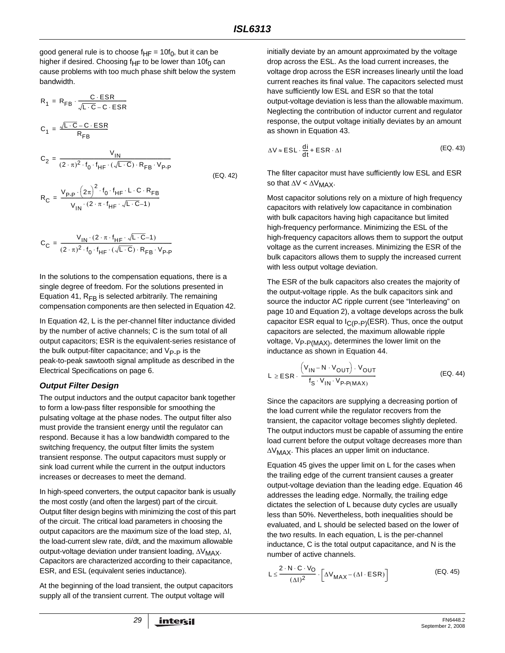good general rule is to choose  $f_{HF} = 10f_0$ , but it can be higher if desired. Choosing  $f_{HF}$  to be lower than 10 $f_0$  can cause problems with too much phase shift below the system bandwidth.

$$
R_{1} = R_{FB} \cdot \frac{C \cdot ESR}{\sqrt{L \cdot C} - C \cdot ESR}
$$
\n
$$
C_{1} = \frac{\sqrt{L \cdot C} - C \cdot ESR}{R_{FB}}
$$
\n
$$
C_{2} = \frac{V_{IN}}{(2 \cdot \pi)^{2} \cdot f_{0} \cdot f_{HF} \cdot (\sqrt{L \cdot C}) \cdot R_{FB} \cdot V_{P\cdot P}}
$$
\n(EQ. 42)

$$
R_C = \frac{V_{P-P} \cdot (2\pi)^2 \cdot f_0 \cdot f_{HF} \cdot L \cdot C \cdot R_{FB}}{V_{IN} \cdot (2 \cdot \pi \cdot f_{HF} \cdot \sqrt{L \cdot C} - 1)}
$$

$$
C_C = \frac{V_{IN} \cdot (2 \cdot \pi \cdot f_{HF} \cdot \sqrt{L \cdot C} - 1)}{(2 \cdot \pi)^2 \cdot f_0 \cdot f_{HF} \cdot (\sqrt{L \cdot C}) \cdot R_{FB} \cdot V_{p,p}}
$$

In the solutions to the compensation equations, there is a single degree of freedom. For the solutions presented in Equation 41,  $R_{FB}$  is selected arbitrarily. The remaining compensation components are then selected in Equation [42](#page-28-0).

In Equation [42,](#page-28-0) L is the per-channel filter inductance divided by the number of active channels; C is the sum total of all output capacitors; ESR is the equivalent-series resistance of the bulk output-filter capacitance; and  $V_{\text{P-P}}$  is the peak-to-peak sawtooth signal amplitude as described in the Electrical Specifications on page [6](#page-5-4).

#### *Output Filter Design*

The output inductors and the output capacitor bank together to form a low-pass filter responsible for smoothing the pulsating voltage at the phase nodes. The output filter also must provide the transient energy until the regulator can respond. Because it has a low bandwidth compared to the switching frequency, the output filter limits the system transient response. The output capacitors must supply or sink load current while the current in the output inductors increases or decreases to meet the demand.

In high-speed converters, the output capacitor bank is usually the most costly (and often the largest) part of the circuit. Output filter design begins with minimizing the cost of this part of the circuit. The critical load parameters in choosing the output capacitors are the maximum size of the load step, ΔI, the load-current slew rate, di/dt, and the maximum allowable output-voltage deviation under transient loading, ΔV<sub>MAX</sub>. Capacitors are characterized according to their capacitance, ESR, and ESL (equivalent series inductance).

At the beginning of the load transient, the output capacitors supply all of the transient current. The output voltage will

initially deviate by an amount approximated by the voltage drop across the ESL. As the load current increases, the voltage drop across the ESR increases linearly until the load current reaches its final value. The capacitors selected must have sufficiently low ESL and ESR so that the total output-voltage deviation is less than the allowable maximum. Neglecting the contribution of inductor current and regulator response, the output voltage initially deviates by an amount as shown in Equation [43.](#page-28-1)

<span id="page-28-1"></span>
$$
\Delta V \approx ESL \cdot \frac{di}{dt} + ESR \cdot \Delta I
$$
 (EQ. 43)

<span id="page-28-0"></span>The filter capacitor must have sufficiently low ESL and ESR so that  $\Delta V < \Delta V_{MAX}$ .

Most capacitor solutions rely on a mixture of high frequency capacitors with relatively low capacitance in combination with bulk capacitors having high capacitance but limited high-frequency performance. Minimizing the ESL of the high-frequency capacitors allows them to support the output voltage as the current increases. Minimizing the ESR of the bulk capacitors allows them to supply the increased current with less output voltage deviation.

The ESR of the bulk capacitors also creates the majority of the output-voltage ripple. As the bulk capacitors sink and source the inductor AC ripple current (see "Interleaving" on page 10 and Equation 2), a voltage develops across the bulk capacitor ESR equal to  $I_{C(P-P)}(ESR)$ . Thus, once the output capacitors are selected, the maximum allowable ripple voltage,  $V_{P-P(MAX)}$ , determines the lower limit on the inductance as shown in Equation [44.](#page-28-2)

<span id="page-28-2"></span>
$$
L \geq ESR \cdot \frac{\left(V_{IN} - N \cdot V_{OUT}\right) \cdot V_{OUT}}{f_S \cdot V_{IN} \cdot V_{P\cdot P(MAX)}}
$$
 (EQ. 44)

Since the capacitors are supplying a decreasing portion of the load current while the regulator recovers from the transient, the capacitor voltage becomes slightly depleted. The output inductors must be capable of assuming the entire load current before the output voltage decreases more than  $\Delta V_{MAX}$ . This places an upper limit on inductance.

Equation 45 gives the upper limit on L for the cases when the trailing edge of the current transient causes a greater output-voltage deviation than the leading edge. Equation 46 addresses the leading edge. Normally, the trailing edge dictates the selection of L because duty cycles are usually less than 50%. Nevertheless, both inequalities should be evaluated, and L should be selected based on the lower of the two results. In each equation, L is the per-channel inductance, C is the total output capacitance, and N is the number of active channels.

$$
L \leq \frac{2 \cdot N \cdot C \cdot V_O}{(\Delta I)^2} \cdot \left[ \Delta V_{MAX} - (\Delta I \cdot ESR) \right]
$$
 (EQ. 45)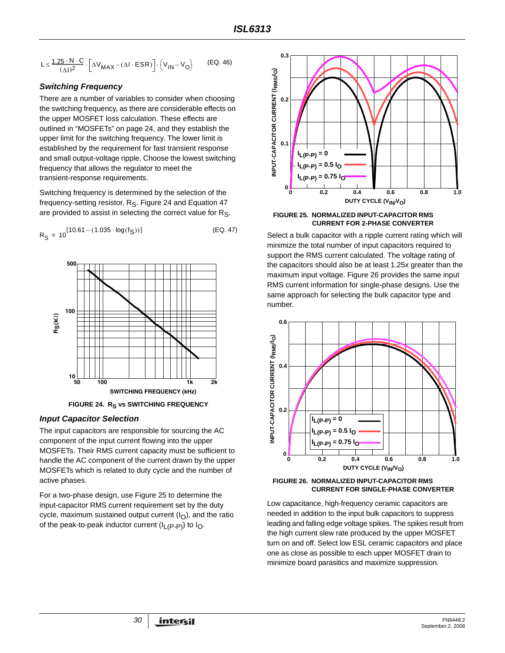$$
L \leq \frac{1.25 \cdot N \cdot C}{(\Delta I)^2} \cdot \left[ \Delta V_{MAX} - (\Delta I \cdot ESR) \right] \cdot \left( V_{IN} - V_O \right) \quad \quad (EQ.46)
$$

#### *Switching Frequency*

There are a number of variables to consider when choosing the switching frequency, as there are considerable effects on the upper MOSFET loss calculation. These effects are outlined in "MOSFETs" on page 24, and they establish the upper limit for the switching frequency. The lower limit is established by the requirement for fast transient response and small output-voltage ripple. Choose the lowest switching frequency that allows the regulator to meet the transient-response requirements.

Switching frequency is determined by the selection of the frequency-setting resistor, R<sub>S</sub>. Figure 24 and Equation 47 are provided to assist in selecting the correct value for R<sub>S</sub>.



#### *Input Capacitor Selection*

The input capacitors are responsible for sourcing the AC component of the input current flowing into the upper MOSFETs. Their RMS current capacity must be sufficient to handle the AC component of the current drawn by the upper MOSFETs which is related to duty cycle and the number of active phases.

For a two-phase design, use Figure [25](#page-29-0) to determine the input-capacitor RMS current requirement set by the duty cycle, maximum sustained output current  $(I<sub>O</sub>)$ , and the ratio of the peak-to-peak inductor current  $(I_L(p-p))$  to  $I_O$ .



<span id="page-29-0"></span>

Select a bulk capacitor with a ripple current rating which will minimize the total number of input capacitors required to support the RMS current calculated. The voltage rating of the capacitors should also be at least 1.25x greater than the maximum input voltage. Figure 26 provides the same input RMS current information for single-phase designs. Use the same approach for selecting the bulk capacitor type and number.





Low capacitance, high-frequency ceramic capacitors are needed in addition to the input bulk capacitors to suppress leading and falling edge voltage spikes. The spikes result from the high current slew rate produced by the upper MOSFET turn on and off. Select low ESL ceramic capacitors and place one as close as possible to each upper MOSFET drain to minimize board parasitics and maximize suppression.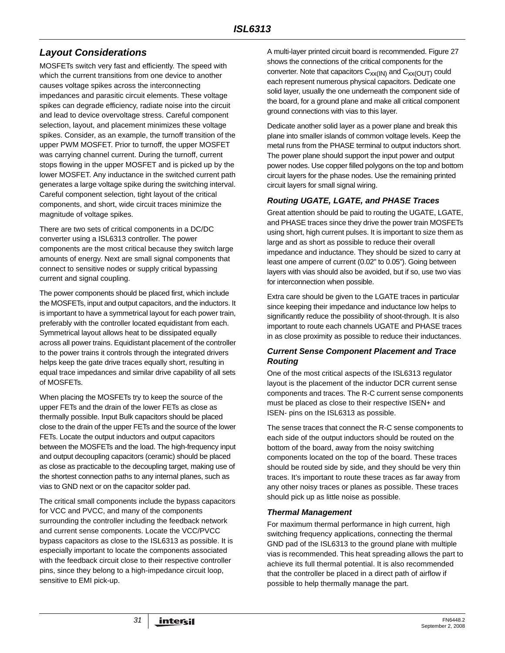# <span id="page-30-0"></span>*Layout Considerations*

MOSFETs switch very fast and efficiently. The speed with which the current transitions from one device to another causes voltage spikes across the interconnecting impedances and parasitic circuit elements. These voltage spikes can degrade efficiency, radiate noise into the circuit and lead to device overvoltage stress. Careful component selection, layout, and placement minimizes these voltage spikes. Consider, as an example, the turnoff transition of the upper PWM MOSFET. Prior to turnoff, the upper MOSFET was carrying channel current. During the turnoff, current stops flowing in the upper MOSFET and is picked up by the lower MOSFET. Any inductance in the switched current path generates a large voltage spike during the switching interval. Careful component selection, tight layout of the critical components, and short, wide circuit traces minimize the magnitude of voltage spikes.

There are two sets of critical components in a DC/DC converter using a ISL6313 controller. The power components are the most critical because they switch large amounts of energy. Next are small signal components that connect to sensitive nodes or supply critical bypassing current and signal coupling.

The power components should be placed first, which include the MOSFETs, input and output capacitors, and the inductors. It is important to have a symmetrical layout for each power train, preferably with the controller located equidistant from each. Symmetrical layout allows heat to be dissipated equally across all power trains. Equidistant placement of the controller to the power trains it controls through the integrated drivers helps keep the gate drive traces equally short, resulting in equal trace impedances and similar drive capability of all sets of MOSFETs.

When placing the MOSFETs try to keep the source of the upper FETs and the drain of the lower FETs as close as thermally possible. Input Bulk capacitors should be placed close to the drain of the upper FETs and the source of the lower FETs. Locate the output inductors and output capacitors between the MOSFETs and the load. The high-frequency input and output decoupling capacitors (ceramic) should be placed as close as practicable to the decoupling target, making use of the shortest connection paths to any internal planes, such as vias to GND next or on the capacitor solder pad.

The critical small components include the bypass capacitors for VCC and PVCC, and many of the components surrounding the controller including the feedback network and current sense components. Locate the VCC/PVCC bypass capacitors as close to the ISL6313 as possible. It is especially important to locate the components associated with the feedback circuit close to their respective controller pins, since they belong to a high-impedance circuit loop, sensitive to EMI pick-up.

A multi-layer printed circuit board is recommended. Figure 27 shows the connections of the critical components for the converter. Note that capacitors  $C_{XX(1N)}$  and  $C_{XX(OUT)}$  could each represent numerous physical capacitors. Dedicate one solid layer, usually the one underneath the component side of the board, for a ground plane and make all critical component ground connections with vias to this layer.

Dedicate another solid layer as a power plane and break this plane into smaller islands of common voltage levels. Keep the metal runs from the PHASE terminal to output inductors short. The power plane should support the input power and output power nodes. Use copper filled polygons on the top and bottom circuit layers for the phase nodes. Use the remaining printed circuit layers for small signal wiring.

#### *Routing UGATE, LGATE, and PHASE Traces*

Great attention should be paid to routing the UGATE, LGATE, and PHASE traces since they drive the power train MOSFETs using short, high current pulses. It is important to size them as large and as short as possible to reduce their overall impedance and inductance. They should be sized to carry at least one ampere of current (0.02" to 0.05"). Going between layers with vias should also be avoided, but if so, use two vias for interconnection when possible.

Extra care should be given to the LGATE traces in particular since keeping their impedance and inductance low helps to significantly reduce the possibility of shoot-through. It is also important to route each channels UGATE and PHASE traces in as close proximity as possible to reduce their inductances.

#### *Current Sense Component Placement and Trace Routing*

One of the most critical aspects of the ISL6313 regulator layout is the placement of the inductor DCR current sense components and traces. The R-C current sense components must be placed as close to their respective ISEN+ and ISEN- pins on the ISL6313 as possible.

The sense traces that connect the R-C sense components to each side of the output inductors should be routed on the bottom of the board, away from the noisy switching components located on the top of the board. These traces should be routed side by side, and they should be very thin traces. It's important to route these traces as far away from any other noisy traces or planes as possible. These traces should pick up as little noise as possible.

#### *Thermal Management*

For maximum thermal performance in high current, high switching frequency applications, connecting the thermal GND pad of the ISL6313 to the ground plane with multiple vias is recommended. This heat spreading allows the part to achieve its full thermal potential. It is also recommended that the controller be placed in a direct path of airflow if possible to help thermally manage the part.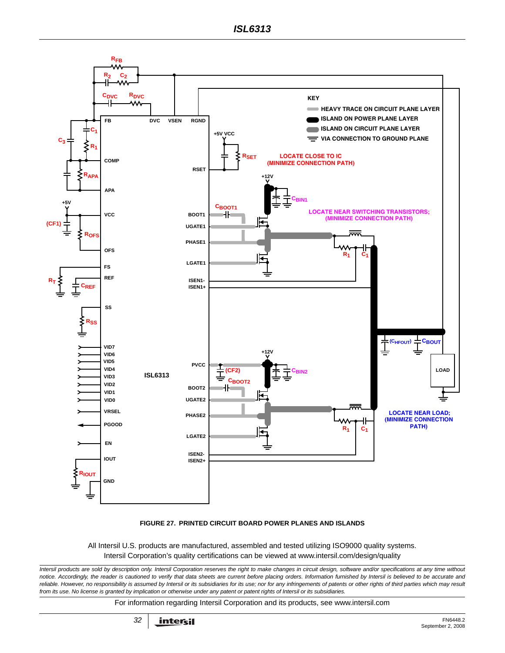

#### **FIGURE 27. PRINTED CIRCUIT BOARD POWER PLANES AND ISLANDS**

All Intersil U.S. products are manufactured, assembled and tested utilizing ISO9000 quality systems. Intersil Corporation's quality certifications can be viewed at www.intersil.com/design/quality

*Intersil products are sold by description only. Intersil Corporation reserves the right to make changes in circuit design, software and/or specifications at any time without notice. Accordingly, the reader is cautioned to verify that data sheets are current before placing orders. Information furnished by Intersil is believed to be accurate and* reliable. However, no responsibility is assumed by Intersil or its subsidiaries for its use; nor for any infringements of patents or other rights of third parties which may result *from its use. No license is granted by implication or otherwise under any patent or patent rights of Intersil or its subsidiaries.*

For information regarding Intersil Corporation and its products, see www.intersil.com